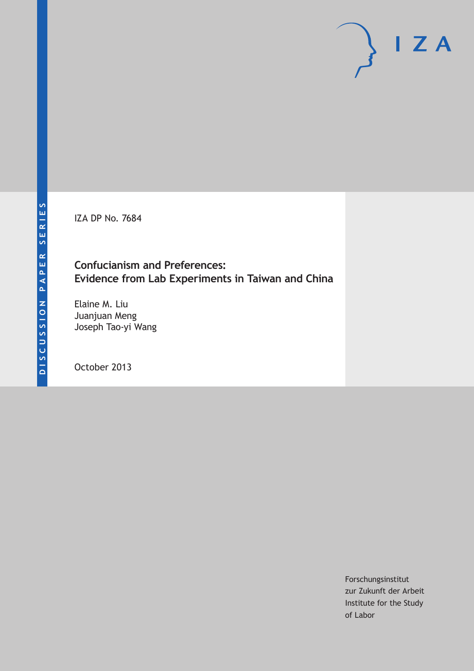IZA DP No. 7684

# **Confucianism and Preferences: Evidence from Lab Experiments in Taiwan and China**

Elaine M. Liu Juanjuan Meng Joseph Tao-yi Wang

October 2013

Forschungsinstitut zur Zukunft der Arbeit Institute for the Study of Labor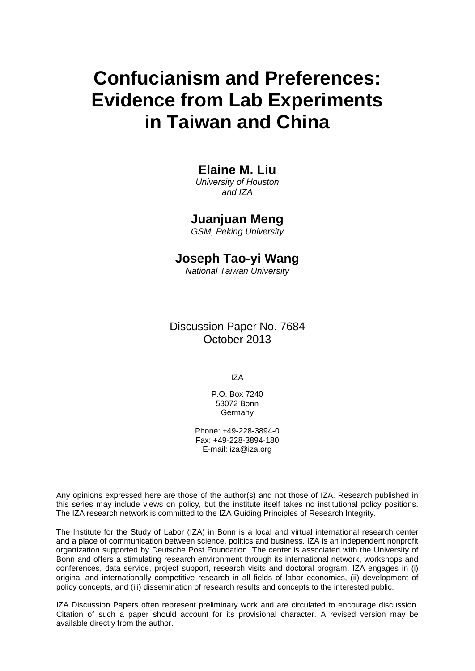# **Confucianism and Preferences: Evidence from Lab Experiments in Taiwan and China**

### **Elaine M. Liu**

*University of Houston and IZA*

# **Juanjuan Meng**

*GSM, Peking University*

# **Joseph Tao-yi Wang**

*National Taiwan University*

Discussion Paper No. 7684 October 2013

IZA

P.O. Box 7240 53072 Bonn Germany

Phone: +49-228-3894-0 Fax: +49-228-3894-180 E-mail: [iza@iza.org](mailto:iza@iza.org)

Any opinions expressed here are those of the author(s) and not those of IZA. Research published in this series may include views on policy, but the institute itself takes no institutional policy positions. The IZA research network is committed to the IZA Guiding Principles of Research Integrity.

The Institute for the Study of Labor (IZA) in Bonn is a local and virtual international research center and a place of communication between science, politics and business. IZA is an independent nonprofit organization supported by Deutsche Post Foundation. The center is associated with the University of Bonn and offers a stimulating research environment through its international network, workshops and conferences, data service, project support, research visits and doctoral program. IZA engages in (i) original and internationally competitive research in all fields of labor economics, (ii) development of policy concepts, and (iii) dissemination of research results and concepts to the interested public.

<span id="page-1-0"></span>IZA Discussion Papers often represent preliminary work and are circulated to encourage discussion. Citation of such a paper should account for its provisional character. A revised version may be available directly from the author.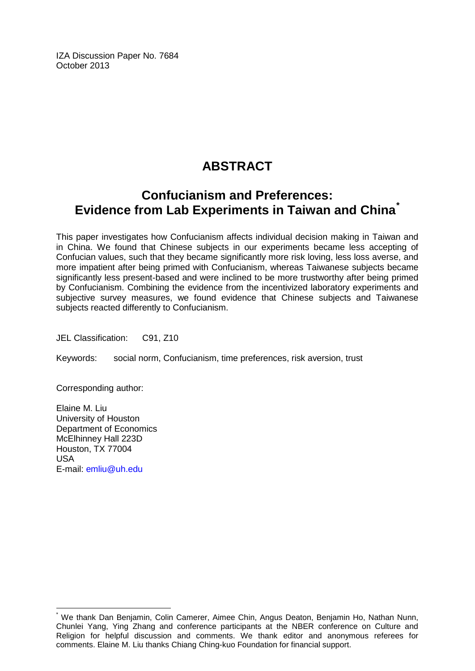IZA Discussion Paper No. 7684 October 2013

# **ABSTRACT**

# **Confucianism and Preferences: Evidence from Lab Experiments in Taiwan and China[\\*](#page-1-0)**

This paper investigates how Confucianism affects individual decision making in Taiwan and in China. We found that Chinese subjects in our experiments became less accepting of Confucian values, such that they became significantly more risk loving, less loss averse, and more impatient after being primed with Confucianism, whereas Taiwanese subjects became significantly less present-based and were inclined to be more trustworthy after being primed by Confucianism. Combining the evidence from the incentivized laboratory experiments and subjective survey measures, we found evidence that Chinese subjects and Taiwanese subjects reacted differently to Confucianism.

JEL Classification: C91, Z10

Keywords: social norm, Confucianism, time preferences, risk aversion, trust

Corresponding author:

Elaine M. Liu University of Houston Department of Economics McElhinney Hall 223D Houston, TX 77004 USA E-mail: [emliu@uh.edu](mailto:emliu@uh.edu)

\* We thank Dan Benjamin, Colin Camerer, Aimee Chin, Angus Deaton, Benjamin Ho, Nathan Nunn, Chunlei Yang, Ying Zhang and conference participants at the NBER conference on Culture and Religion for helpful discussion and comments. We thank editor and anonymous referees for comments. Elaine M. Liu thanks Chiang Ching-kuo Foundation for financial support.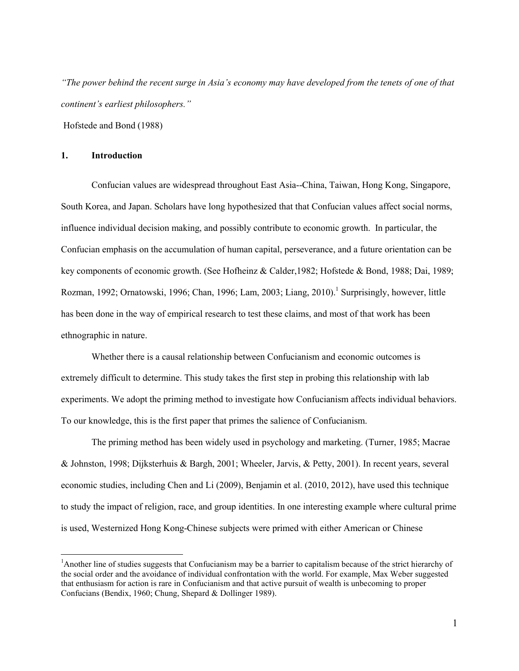*"The power behind the recent surge in Asia's economy may have developed from the tenets of one of that continent's earliest philosophers."*

Hofstede and Bond (1988)

#### 1. Introduction

Confucian values are widespread throughout East Asia--China, Taiwan, Hong Kong, Singapore, South Korea, and Japan. Scholars have long hypothesized that that Confucian values affect social norms, influence individual decision making, and possibly contribute to economic growth. In particular, the Confucian emphasis on the accumulation of human capital, perseverance, and a future orientation can be key components of economic growth. (See Hofheinz & Calder,1982; Hofstede & Bond, 1988; Dai, 1989; Rozman, 1992; Ornatowski, 1996; Chan, 1996; Lam, 2003; Liang, 2010).<sup>1</sup> Surprisingly, however, little has been done in the way of empirical research to test these claims, and most of that work has been ethnographic in nature.

Whether there is a causal relationship between Confucianism and economic outcomes is extremely difficult to determine. This study takes the first step in probing this relationship with lab experiments. We adopt the priming method to investigate how Confucianism affects individual behaviors. To our knowledge, this is the first paper that primes the salience of Confucianism.

The priming method has been widely used in psychology and marketing. (Turner, 1985; Macrae & Johnston, 1998; Dijksterhuis & Bargh, 2001; Wheeler, Jarvis, & Petty, 2001). In recent years, several economic studies, including Chen and Li (2009), Benjamin et al. (2010, 2012), have used this technique to study the impact of religion, race, and group identities. In one interesting example where cultural prime is used, Westernized Hong Kong-Chinese subjects were primed with either American or Chinese

 $\frac{1}{1}$  $^1$ Another line of studies suggests that Confucianism may be a barrier to capitalism because of the strict hierarchy of the social order and the avoidance of individual confrontation with the world. For example, Max Weber suggested that enthusiasm for action is rare in Confucianism and that active pursuit of wealth is unbecoming to proper Confucians (Bendix, 1960; Chung, Shepard & Dollinger 1989).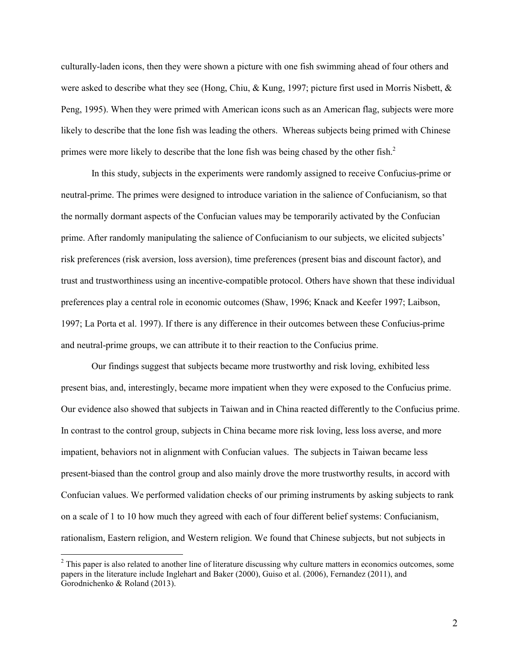culturally-laden icons, then they were shown a picture with one fish swimming ahead of four others and were asked to describe what they see (Hong, Chiu, & Kung, 1997; picture first used in Morris Nisbett, & Peng, 1995). When they were primed with American icons such as an American flag, subjects were more likely to describe that the lone fish was leading the others. Whereas subjects being primed with Chinese primes were more likely to describe that the lone fish was being chased by the other fish.<sup>2</sup>

In this study, subjects in the experiments were randomly assigned to receive Confucius-prime or neutral-prime. The primes were designed to introduce variation in the salience of Confucianism, so that the normally dormant aspects of the Confucian values may be temporarily activated by the Confucian prime. After randomly manipulating the salience of Confucianism to our subjects, we elicited subjects' risk preferences (risk aversion, loss aversion), time preferences (present bias and discount factor), and trust and trustworthiness using an incentive-compatible protocol. Others have shown that these individual preferences play a central role in economic outcomes (Shaw, 1996; Knack and Keefer 1997; Laibson, 1997; La Porta et al. 1997). If there is any difference in their outcomes between these Confucius-prime and neutral-prime groups, we can attribute it to their reaction to the Confucius prime.

Our findings suggest that subjects became more trustworthy and risk loving, exhibited less present bias, and, interestingly, became more impatient when they were exposed to the Confucius prime. Our evidence also showed that subjects in Taiwan and in China reacted differently to the Confucius prime. In contrast to the control group, subjects in China became more risk loving, less loss averse, and more impatient, behaviors not in alignment with Confucian values. The subjects in Taiwan became less present-biased than the control group and also mainly drove the more trustworthy results, in accord with Confucian values. We performed validation checks of our priming instruments by asking subjects to rank on a scale of 1 to 10 how much they agreed with each of four different belief systems: Confucianism, rationalism, Eastern religion, and Western religion. We found that Chinese subjects, but not subjects in

 $2$  This paper is also related to another line of literature discussing why culture matters in economics outcomes, some papers in the literature include Inglehart and Baker (2000), Guiso et al. (2006), Fernandez (2011), and Gorodnichenko & Roland (2013).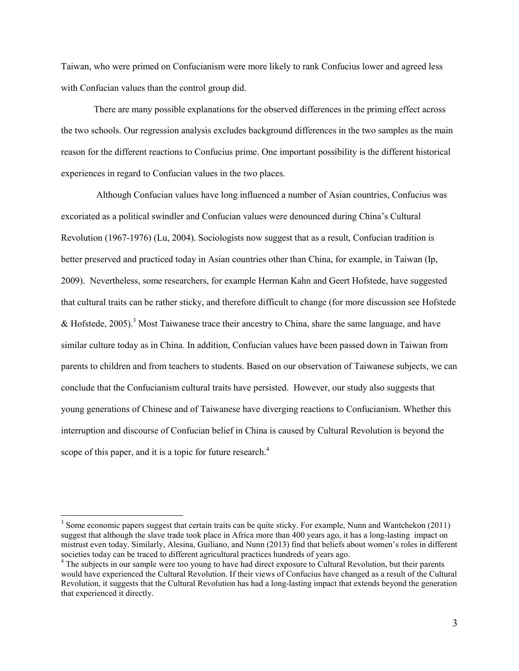Taiwan, who were primed on Confucianism were more likely to rank Confucius lower and agreed less with Confucian values than the control group did.

There are many possible explanations for the observed differences in the priming effect across the two schools. Our regression analysis excludes background differences in the two samples as the main reason for the different reactions to Confucius prime. One important possibility is the different historical experiences in regard to Confucian values in the two places.

 Although Confucian values have long influenced a number of Asian countries, Confucius was excoriated as a political swindler and Confucian values were denounced during China's Cultural Revolution (1967-1976) (Lu, 2004). Sociologists now suggest that as a result, Confucian tradition is better preserved and practiced today in Asian countries other than China, for example, in Taiwan (Ip, 2009). Nevertheless, some researchers, for example Herman Kahn and Geert Hofstede, have suggested that cultural traits can be rather sticky, and therefore difficult to change (for more discussion see Hofstede & Hofstede, 2005).<sup>3</sup> Most Taiwanese trace their ancestry to China, share the same language, and have similar culture today as in China. In addition, Confucian values have been passed down in Taiwan from parents to children and from teachers to students. Based on our observation of Taiwanese subjects, we can conclude that the Confucianism cultural traits have persisted. However, our study also suggests that young generations of Chinese and of Taiwanese have diverging reactions to Confucianism. Whether this interruption and discourse of Confucian belief in China is caused by Cultural Revolution is beyond the scope of this paper, and it is a topic for future research.<sup>4</sup>

<sup>&</sup>lt;sup>3</sup> Some economic papers suggest that certain traits can be quite sticky. For example, Nunn and Wantchekon (2011) suggest that although the slave trade took place in Africa more than 400 years ago, it has a long-lasting impact on mistrust even today. Similarly, Alesina, Guiliano, and Nunn (2013) find that beliefs about women's roles in different societies today can be traced to different agricultural practices hundreds of years ago.

<sup>&</sup>lt;sup>4</sup> The subjects in our sample were too young to have had direct exposure to Cultural Revolution, but their parents would have experienced the Cultural Revolution. If their views of Confucius have changed as a result of the Cultural Revolution, it suggests that the Cultural Revolution has had a long-lasting impact that extends beyond the generation that experienced it directly.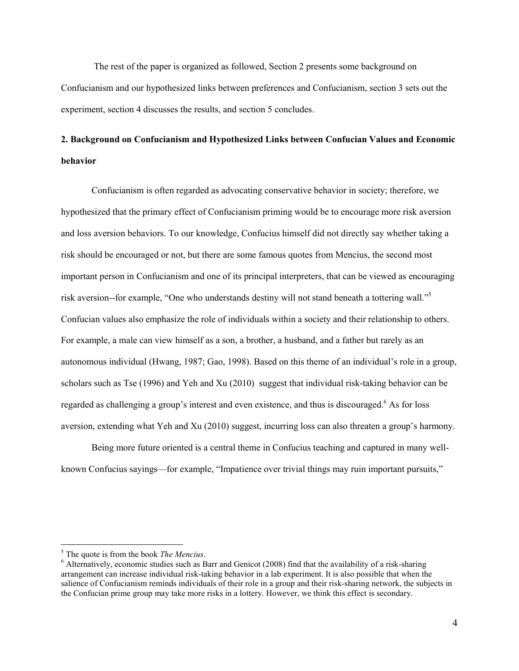The rest of the paper is organized as followed, Section 2 presents some background on Confucianism and our hypothesized links between preferences and Confucianism, section 3 sets out the experiment, section 4 discusses the results, and section 5 concludes.

# 2. Background on Confucianism and Hypothesized Links between Confucian Values and Economic behavior

Confucianism is often regarded as advocating conservative behavior in society; therefore, we hypothesized that the primary effect of Confucianism priming would be to encourage more risk aversion and loss aversion behaviors. To our knowledge, Confucius himself did not directly say whether taking a risk should be encouraged or not, but there are some famous quotes from Mencius, the second most important person in Confucianism and one of its principal interpreters, that can be viewed as encouraging risk aversion--for example, "One who understands destiny will not stand beneath a tottering wall."5 Confucian values also emphasize the role of individuals within a society and their relationship to others. For example, a male can view himself as a son, a brother, a husband, and a father but rarely as an autonomous individual (Hwang, 1987; Gao, 1998). Based on this theme of an individual's role in a group, scholars such as Tse (1996) and Yeh and Xu (2010) suggest that individual risk-taking behavior can be regarded as challenging a group's interest and even existence, and thus is discouraged.<sup>6</sup> As for loss aversion, extending what Yeh and Xu (2010) suggest, incurring loss can also threaten a group's harmony.

Being more future oriented is a central theme in Confucius teaching and captured in many wellknown Confucius sayings—for example, "Impatience over trivial things may ruin important pursuits,"

<sup>&</sup>lt;sup>5</sup> The quote is from the book *The Mencius*.<br><sup>6</sup> Alternatively, economic studies such as Barr and Genicot (2008) find that the availability of a risk-sharing arrangement can increase individual risk-taking behavior in a lab experiment. It is also possible that when the salience of Confucianism reminds individuals of their role in a group and their risk-sharing network, the subjects in the Confucian prime group may take more risks in a lottery. However, we think this effect is secondary.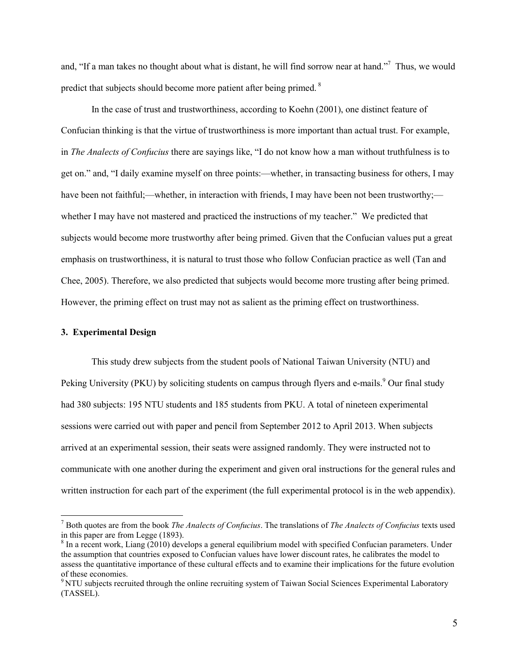and, "If a man takes no thought about what is distant, he will find sorrow near at hand."<sup>7</sup> Thus, we would predict that subjects should become more patient after being primed. <sup>8</sup>

In the case of trust and trustworthiness, according to Koehn (2001), one distinct feature of Confucian thinking is that the virtue of trustworthiness is more important than actual trust. For example, in *The Analects of Confucius* there are sayings like, "I do not know how a man without truthfulness is to get on." and, "I daily examine myself on three points:—whether, in transacting business for others, I may have been not faithful;—whether, in interaction with friends, I may have been not been trustworthy; whether I may have not mastered and practiced the instructions of my teacher." We predicted that subjects would become more trustworthy after being primed. Given that the Confucian values put a great emphasis on trustworthiness, it is natural to trust those who follow Confucian practice as well (Tan and Chee, 2005). Therefore, we also predicted that subjects would become more trusting after being primed. However, the priming effect on trust may not as salient as the priming effect on trustworthiness.

#### 3. Experimental Design

This study drew subjects from the student pools of National Taiwan University (NTU) and Peking University (PKU) by soliciting students on campus through flyers and e-mails.<sup>9</sup> Our final study had 380 subjects: 195 NTU students and 185 students from PKU. A total of nineteen experimental sessions were carried out with paper and pencil from September 2012 to April 2013. When subjects arrived at an experimental session, their seats were assigned randomly. They were instructed not to communicate with one another during the experiment and given oral instructions for the general rules and written instruction for each part of the experiment (the full experimental protocol is in the web appendix).

 <sup>7</sup> Both quotes are from the book *The Analects of Confucius*. The translations of *The Analects of Confucius* texts used in this paper are from Legge (1893).

<sup>&</sup>lt;sup>8</sup> In a recent work, Liang (2010) develops a general equilibrium model with specified Confucian parameters. Under the assumption that countries exposed to Confucian values have lower discount rates, he calibrates the model to assess the quantitative importance of these cultural effects and to examine their implications for the future evolution of these economies.

<sup>&</sup>lt;sup>9</sup> NTU subjects recruited through the online recruiting system of Taiwan Social Sciences Experimental Laboratory (TASSEL).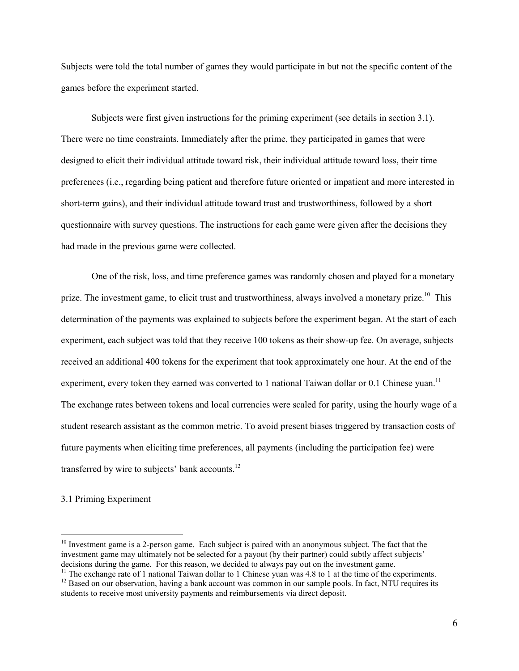Subjects were told the total number of games they would participate in but not the specific content of the games before the experiment started.

Subjects were first given instructions for the priming experiment (see details in section 3.1). There were no time constraints. Immediately after the prime, they participated in games that were designed to elicit their individual attitude toward risk, their individual attitude toward loss, their time preferences (i.e., regarding being patient and therefore future oriented or impatient and more interested in short-term gains), and their individual attitude toward trust and trustworthiness, followed by a short questionnaire with survey questions. The instructions for each game were given after the decisions they had made in the previous game were collected.

One of the risk, loss, and time preference games was randomly chosen and played for a monetary prize. The investment game, to elicit trust and trustworthiness, always involved a monetary prize.<sup>10</sup> This determination of the payments was explained to subjects before the experiment began. At the start of each experiment, each subject was told that they receive 100 tokens as their show-up fee. On average, subjects received an additional 400 tokens for the experiment that took approximately one hour. At the end of the experiment, every token they earned was converted to 1 national Taiwan dollar or 0.1 Chinese yuan.<sup>11</sup> The exchange rates between tokens and local currencies were scaled for parity, using the hourly wage of a student research assistant as the common metric. To avoid present biases triggered by transaction costs of future payments when eliciting time preferences, all payments (including the participation fee) were transferred by wire to subjects' bank accounts.<sup>12</sup>

#### 3.1 Priming Experiment

<sup>&</sup>lt;sup>10</sup> Investment game is a 2-person game. Each subject is paired with an anonymous subject. The fact that the investment game may ultimately not be selected for a payout (by their partner) could subtly affect subjects'

<sup>&</sup>lt;sup>11</sup> The exchange rate of 1 national Taiwan dollar to 1 Chinese yuan was 4.8 to 1 at the time of the experiments.<br><sup>12</sup> Based on our observation, having a bank account was common in our sample pools. In fact, NTU requires students to receive most university payments and reimbursements via direct deposit.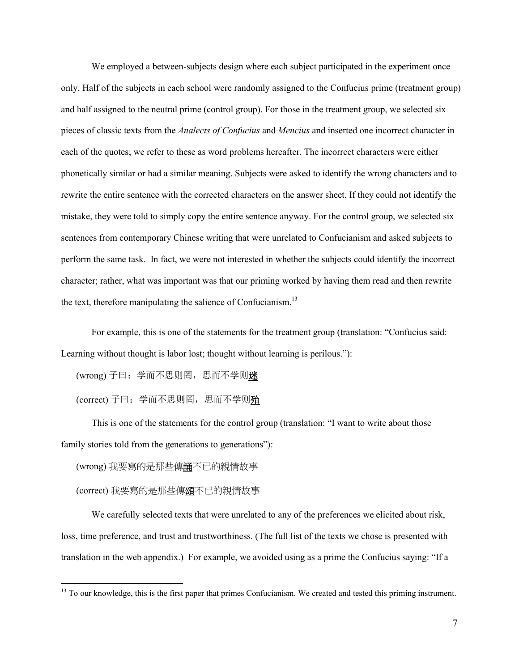We employed a between-subjects design where each subject participated in the experiment once only. Half of the subjects in each school were randomly assigned to the Confucius prime (treatment group) and half assigned to the neutral prime (control group). For those in the treatment group, we selected six pieces of classic texts from the *Analects of Confucius* and *Mencius* and inserted one incorrect character in each of the quotes; we refer to these as word problems hereafter. The incorrect characters were either phonetically similar or had a similar meaning. Subjects were asked to identify the wrong characters and to rewrite the entire sentence with the corrected characters on the answer sheet. If they could not identify the mistake, they were told to simply copy the entire sentence anyway. For the control group, we selected six sentences from contemporary Chinese writing that were unrelated to Confucianism and asked subjects to perform the same task. In fact, we were not interested in whether the subjects could identify the incorrect character; rather, what was important was that our priming worked by having them read and then rewrite the text, therefore manipulating the salience of Confucianism.<sup>13</sup>

For example, this is one of the statements for the treatment group (translation: "Confucius said: Learning without thought is labor lost; thought without learning is perilous."):

(wrong) 子曰: 学而不思则罔, 思而不学则迷

(correct) 子曰: 学而不思则罔, 思而不学则殆

This is one of the statements for the control group (translation: "I want to write about those family stories told from the generations to generations"):

(wrong) 我要寫的是那些傳誦不已的親情故事

(correct) 我要寫的是那些傳頌不已的親情故事

We carefully selected texts that were unrelated to any of the preferences we elicited about risk, loss, time preference, and trust and trustworthiness. (The full list of the texts we chose is presented with translation in the web appendix.) For example, we avoided using as a prime the Confucius saying: "If a

<sup>&</sup>lt;sup>13</sup> To our knowledge, this is the first paper that primes Confucianism. We created and tested this priming instrument.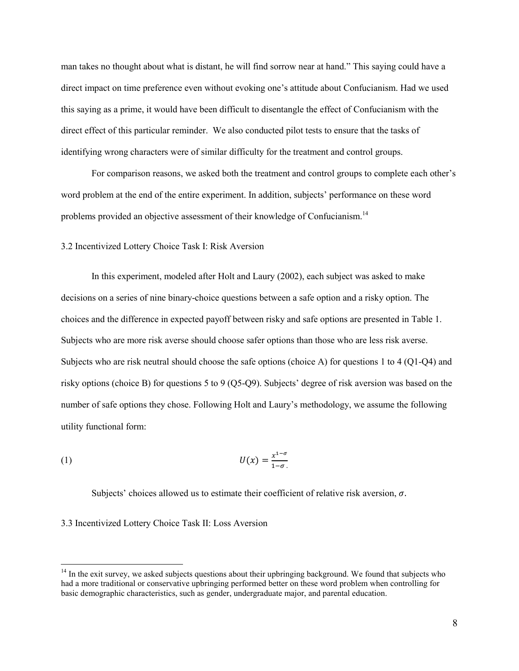man takes no thought about what is distant, he will find sorrow near at hand." This saying could have a direct impact on time preference even without evoking one's attitude about Confucianism. Had we used this saying as a prime, it would have been difficult to disentangle the effect of Confucianism with the direct effect of this particular reminder. We also conducted pilot tests to ensure that the tasks of identifying wrong characters were of similar difficulty for the treatment and control groups.

For comparison reasons, we asked both the treatment and control groups to complete each other's word problem at the end of the entire experiment. In addition, subjects' performance on these word problems provided an objective assessment of their knowledge of Confucianism.<sup>14</sup>

#### 3.2 Incentivized Lottery Choice Task I: Risk Aversion

In this experiment, modeled after Holt and Laury (2002), each subject was asked to make decisions on a series of nine binary-choice questions between a safe option and a risky option. The choices and the difference in expected payoff between risky and safe options are presented in Table 1. Subjects who are more risk averse should choose safer options than those who are less risk averse. Subjects who are risk neutral should choose the safe options (choice A) for questions 1 to 4 (Q1-Q4) and risky options (choice B) for questions 5 to 9 (Q5-Q9). Subjects' degree of risk aversion was based on the number of safe options they chose. Following Holt and Laury's methodology, we assume the following utility functional form:

$$
(1) \t\t\t U(x) = \frac{x^{1-\sigma}}{1-\sigma}
$$

Subjects' choices allowed us to estimate their coefficient of relative risk aversion,  $\sigma$ .

#### 3.3 Incentivized Lottery Choice Task II: Loss Aversion

 $14$  In the exit survey, we asked subjects questions about their upbringing background. We found that subjects who had a more traditional or conservative upbringing performed better on these word problem when controlling for basic demographic characteristics, such as gender, undergraduate major, and parental education.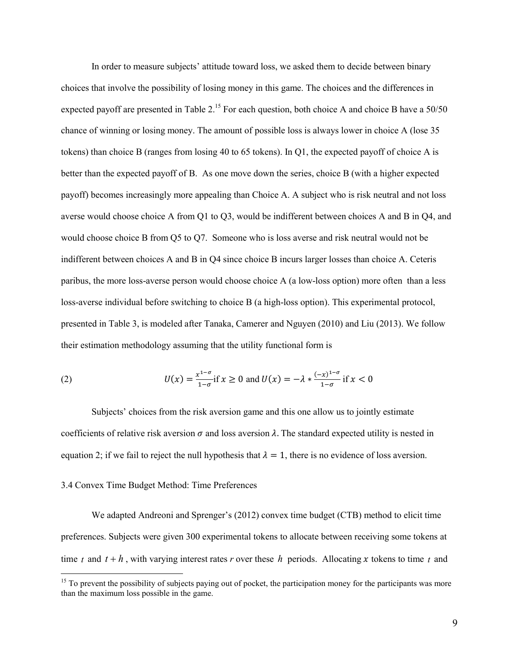In order to measure subjects' attitude toward loss, we asked them to decide between binary choices that involve the possibility of losing money in this game. The choices and the differences in expected payoff are presented in Table 2.<sup>15</sup> For each question, both choice A and choice B have a  $50/50$ chance of winning or losing money. The amount of possible loss is always lower in choice A (lose 35 tokens) than choice B (ranges from losing 40 to 65 tokens). In Q1, the expected payoff of choice A is better than the expected payoff of B. As one move down the series, choice B (with a higher expected payoff) becomes increasingly more appealing than Choice A. A subject who is risk neutral and not loss averse would choose choice A from Q1 to Q3, would be indifferent between choices A and B in Q4, and would choose choice B from Q5 to Q7. Someone who is loss averse and risk neutral would not be indifferent between choices A and B in Q4 since choice B incurs larger losses than choice A. Ceteris paribus, the more loss-averse person would choose choice A (a low-loss option) more often than a less loss-averse individual before switching to choice B (a high-loss option). This experimental protocol, presented in Table 3, is modeled after Tanaka, Camerer and Nguyen (2010) and Liu (2013). We follow their estimation methodology assuming that the utility functional form is

(2) 
$$
U(x) = \frac{x^{1-\sigma}}{1-\sigma} \text{if } x \ge 0 \text{ and } U(x) = -\lambda * \frac{(-x)^{1-\sigma}}{1-\sigma} \text{if } x < 0
$$

Subjects' choices from the risk aversion game and this one allow us to jointly estimate coefficients of relative risk aversion  $\sigma$  and loss aversion  $\lambda$ . The standard expected utility is nested in equation 2; if we fail to reject the null hypothesis that  $\lambda = 1$ , there is no evidence of loss aversion.

#### 3.4 Convex Time Budget Method: Time Preferences

We adapted Andreoni and Sprenger's (2012) convex time budget (CTB) method to elicit time preferences. Subjects were given 300 experimental tokens to allocate between receiving some tokens at time t and  $t + h$ , with varying interest rates r over these h periods. Allocating x tokens to time t and

 $15$  To prevent the possibility of subjects paying out of pocket, the participation money for the participants was more than the maximum loss possible in the game.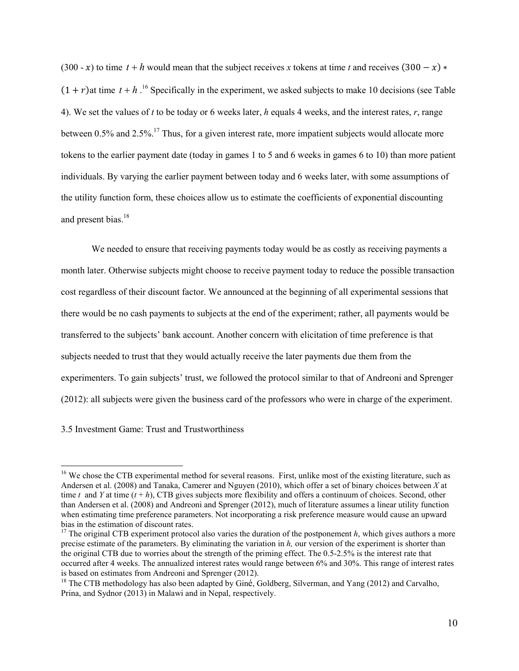(300 - *x*) to time  $t + h$  would mean that the subject receives *x* tokens at time *t* and receives (300 – *x*)  $*$  $(1 + r)$ at time  $t + h$ .<sup>16</sup> Specifically in the experiment, we asked subjects to make 10 decisions (see Table 4). We set the values of *t* to be today or 6 weeks later, *h* equals 4 weeks, and the interest rates, *r*, range between  $0.5\%$  and  $2.5\%$ .<sup>17</sup> Thus, for a given interest rate, more impatient subjects would allocate more tokens to the earlier payment date (today in games 1 to 5 and 6 weeks in games 6 to 10) than more patient individuals. By varying the earlier payment between today and 6 weeks later, with some assumptions of the utility function form, these choices allow us to estimate the coefficients of exponential discounting and present bias.<sup>18</sup>

We needed to ensure that receiving payments today would be as costly as receiving payments a month later. Otherwise subjects might choose to receive payment today to reduce the possible transaction cost regardless of their discount factor. We announced at the beginning of all experimental sessions that there would be no cash payments to subjects at the end of the experiment; rather, all payments would be transferred to the subjects' bank account. Another concern with elicitation of time preference is that subjects needed to trust that they would actually receive the later payments due them from the experimenters. To gain subjects' trust, we followed the protocol similar to that of Andreoni and Sprenger (2012): all subjects were given the business card of the professors who were in charge of the experiment.

#### 3.5 Investment Game: Trust and Trustworthiness

<sup>&</sup>lt;sup>16</sup> We chose the CTB experimental method for several reasons. First, unlike most of the existing literature, such as Andersen et al. (2008) and Tanaka, Camerer and Nguyen (2010), which offer a set of binary choices between *X* at time *t* and *Y* at time  $(t + h)$ , CTB gives subjects more flexibility and offers a continuum of choices. Second, other than Andersen et al. (2008) and Andreoni and Sprenger (2012), much of literature assumes a linear utility function when estimating time preference parameters. Not incorporating a risk preference measure would cause an upward bias in the estimation of discount rates.

<sup>&</sup>lt;sup>17</sup> The original CTB experiment protocol also varies the duration of the postponement  $h$ , which gives authors a more precise estimate of the parameters. By eliminating the variation in *h,* our version of the experiment is shorter than the original CTB due to worries about the strength of the priming effect. The 0.5-2.5% is the interest rate that occurred after 4 weeks. The annualized interest rates would range between 6% and 30%. This range of interest rates is based on estimates from Andreoni and Sprenger (2012).

<sup>&</sup>lt;sup>18</sup> The CTB methodology has also been adapted by Giné, Goldberg, Silverman, and Yang (2012) and Carvalho, Prina, and Sydnor (2013) in Malawi and in Nepal, respectively.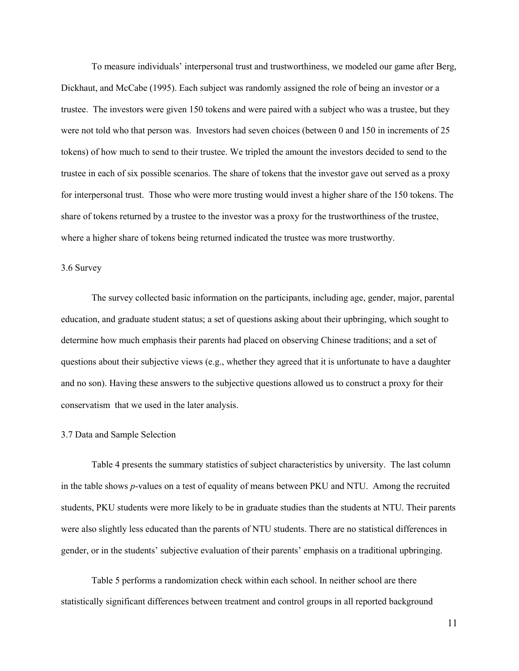To measure individuals' interpersonal trust and trustworthiness, we modeled our game after Berg, Dickhaut, and McCabe (1995). Each subject was randomly assigned the role of being an investor or a trustee. The investors were given 150 tokens and were paired with a subject who was a trustee, but they were not told who that person was. Investors had seven choices (between 0 and 150 in increments of 25 tokens) of how much to send to their trustee. We tripled the amount the investors decided to send to the trustee in each of six possible scenarios. The share of tokens that the investor gave out served as a proxy for interpersonal trust. Those who were more trusting would invest a higher share of the 150 tokens. The share of tokens returned by a trustee to the investor was a proxy for the trustworthiness of the trustee, where a higher share of tokens being returned indicated the trustee was more trustworthy.

#### 3.6 Survey

The survey collected basic information on the participants, including age, gender, major, parental education, and graduate student status; a set of questions asking about their upbringing, which sought to determine how much emphasis their parents had placed on observing Chinese traditions; and a set of questions about their subjective views (e.g., whether they agreed that it is unfortunate to have a daughter and no son). Having these answers to the subjective questions allowed us to construct a proxy for their conservatism that we used in the later analysis.

#### 3.7 Data and Sample Selection

Table 4 presents the summary statistics of subject characteristics by university. The last column in the table shows *p*-values on a test of equality of means between PKU and NTU. Among the recruited students, PKU students were more likely to be in graduate studies than the students at NTU. Their parents were also slightly less educated than the parents of NTU students. There are no statistical differences in gender, or in the students' subjective evaluation of their parents' emphasis on a traditional upbringing.

Table 5 performs a randomization check within each school. In neither school are there statistically significant differences between treatment and control groups in all reported background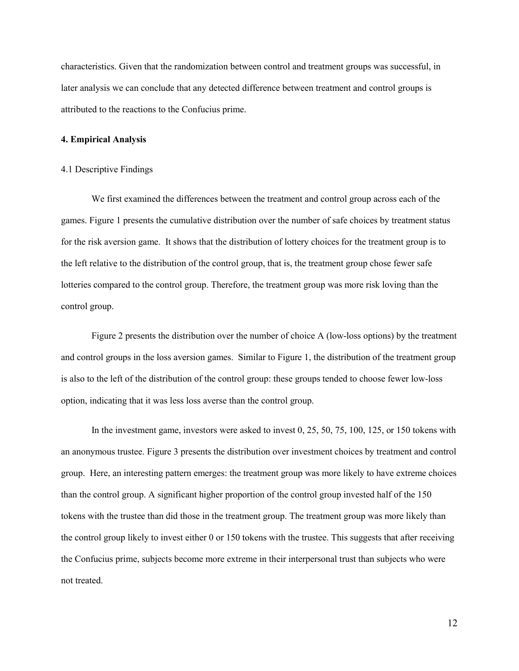characteristics. Given that the randomization between control and treatment groups was successful, in later analysis we can conclude that any detected difference between treatment and control groups is attributed to the reactions to the Confucius prime.

#### 4. Empirical Analysis

#### 4.1 Descriptive Findings

We first examined the differences between the treatment and control group across each of the games. Figure 1 presents the cumulative distribution over the number of safe choices by treatment status for the risk aversion game. It shows that the distribution of lottery choices for the treatment group is to the left relative to the distribution of the control group, that is, the treatment group chose fewer safe lotteries compared to the control group. Therefore, the treatment group was more risk loving than the control group.

Figure 2 presents the distribution over the number of choice A (low-loss options) by the treatment and control groups in the loss aversion games. Similar to Figure 1, the distribution of the treatment group is also to the left of the distribution of the control group: these groups tended to choose fewer low-loss option, indicating that it was less loss averse than the control group.

In the investment game, investors were asked to invest 0, 25, 50, 75, 100, 125, or 150 tokens with an anonymous trustee. Figure 3 presents the distribution over investment choices by treatment and control group. Here, an interesting pattern emerges: the treatment group was more likely to have extreme choices than the control group. A significant higher proportion of the control group invested half of the 150 tokens with the trustee than did those in the treatment group. The treatment group was more likely than the control group likely to invest either 0 or 150 tokens with the trustee. This suggests that after receiving the Confucius prime, subjects become more extreme in their interpersonal trust than subjects who were not treated.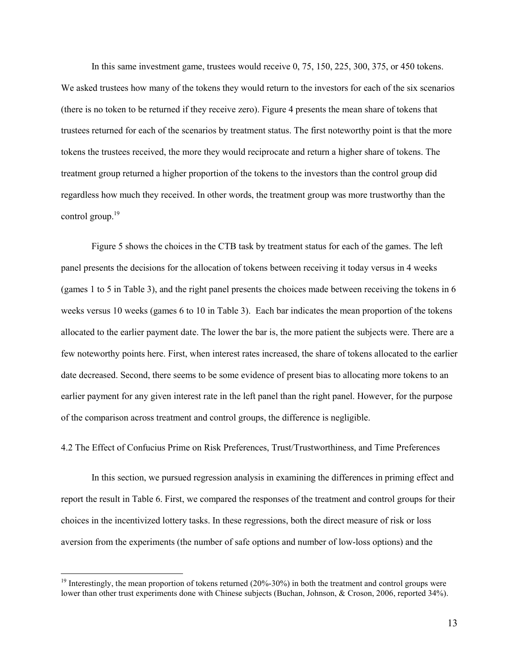In this same investment game, trustees would receive 0, 75, 150, 225, 300, 375, or 450 tokens. We asked trustees how many of the tokens they would return to the investors for each of the six scenarios (there is no token to be returned if they receive zero). Figure 4 presents the mean share of tokens that trustees returned for each of the scenarios by treatment status. The first noteworthy point is that the more tokens the trustees received, the more they would reciprocate and return a higher share of tokens. The treatment group returned a higher proportion of the tokens to the investors than the control group did regardless how much they received. In other words, the treatment group was more trustworthy than the control group.<sup>19</sup>

Figure 5 shows the choices in the CTB task by treatment status for each of the games. The left panel presents the decisions for the allocation of tokens between receiving it today versus in 4 weeks (games 1 to 5 in Table 3), and the right panel presents the choices made between receiving the tokens in 6 weeks versus 10 weeks (games 6 to 10 in Table 3). Each bar indicates the mean proportion of the tokens allocated to the earlier payment date. The lower the bar is, the more patient the subjects were. There are a few noteworthy points here. First, when interest rates increased, the share of tokens allocated to the earlier date decreased. Second, there seems to be some evidence of present bias to allocating more tokens to an earlier payment for any given interest rate in the left panel than the right panel. However, for the purpose of the comparison across treatment and control groups, the difference is negligible.

4.2 The Effect of Confucius Prime on Risk Preferences, Trust/Trustworthiness, and Time Preferences

In this section, we pursued regression analysis in examining the differences in priming effect and report the result in Table 6. First, we compared the responses of the treatment and control groups for their choices in the incentivized lottery tasks. In these regressions, both the direct measure of risk or loss aversion from the experiments (the number of safe options and number of low-loss options) and the

<sup>&</sup>lt;sup>19</sup> Interestingly, the mean proportion of tokens returned  $(20\% - 30\%)$  in both the treatment and control groups were lower than other trust experiments done with Chinese subjects (Buchan, Johnson, & Croson, 2006, reported 34%).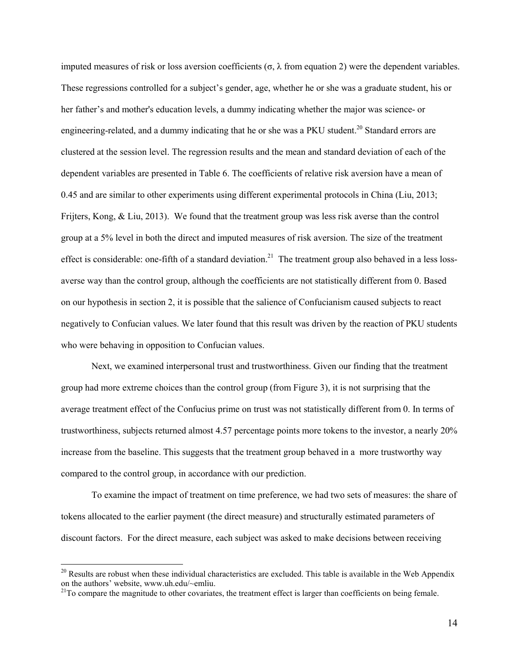imputed measures of risk or loss aversion coefficients (σ, λ from equation 2) were the dependent variables. These regressions controlled for a subject's gender, age, whether he or she was a graduate student, his or her father's and mother's education levels, a dummy indicating whether the major was science- or engineering-related, and a dummy indicating that he or she was a PKU student.<sup>20</sup> Standard errors are clustered at the session level. The regression results and the mean and standard deviation of each of the dependent variables are presented in Table 6. The coefficients of relative risk aversion have a mean of 0.45 and are similar to other experiments using different experimental protocols in China (Liu, 2013; Frijters, Kong, & Liu, 2013). We found that the treatment group was less risk averse than the control group at a 5% level in both the direct and imputed measures of risk aversion. The size of the treatment effect is considerable: one-fifth of a standard deviation.<sup>21</sup> The treatment group also behaved in a less lossaverse way than the control group, although the coefficients are not statistically different from 0. Based on our hypothesis in section 2, it is possible that the salience of Confucianism caused subjects to react negatively to Confucian values. We later found that this result was driven by the reaction of PKU students who were behaving in opposition to Confucian values.

Next, we examined interpersonal trust and trustworthiness. Given our finding that the treatment group had more extreme choices than the control group (from Figure 3), it is not surprising that the average treatment effect of the Confucius prime on trust was not statistically different from 0. In terms of trustworthiness, subjects returned almost 4.57 percentage points more tokens to the investor, a nearly 20% increase from the baseline. This suggests that the treatment group behaved in a more trustworthy way compared to the control group, in accordance with our prediction.

To examine the impact of treatment on time preference, we had two sets of measures: the share of tokens allocated to the earlier payment (the direct measure) and structurally estimated parameters of discount factors. For the direct measure, each subject was asked to make decisions between receiving

<sup>&</sup>lt;sup>20</sup> Results are robust when these individual characteristics are excluded. This table is available in the Web Appendix on the authors' website, www.uh.edu/~emliu.

<sup>&</sup>lt;sup>21</sup>To compare the magnitude to other covariates, the treatment effect is larger than coefficients on being female.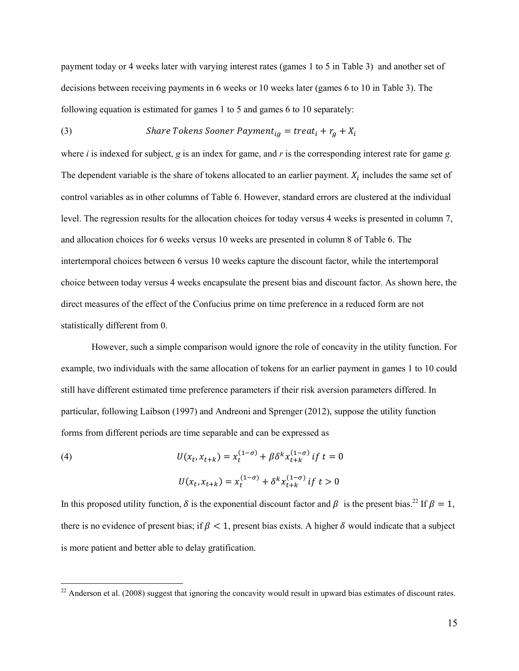payment today or 4 weeks later with varying interest rates (games 1 to 5 in Table 3) and another set of decisions between receiving payments in 6 weeks or 10 weeks later (games 6 to 10 in Table 3). The following equation is estimated for games 1 to 5 and games 6 to 10 separately:

### (3) Share Tokens Sooner Payment<sub>ig</sub> = treat<sub>i</sub> +  $r_g$  +  $X_i$

where *i* is indexed for subject, *g* is an index for game, and *r* is the corresponding interest rate for game *g*. The dependent variable is the share of tokens allocated to an earlier payment.  $X_i$  includes the same set of control variables as in other columns of Table 6. However, standard errors are clustered at the individual level. The regression results for the allocation choices for today versus 4 weeks is presented in column 7, and allocation choices for 6 weeks versus 10 weeks are presented in column 8 of Table 6. The intertemporal choices between 6 versus 10 weeks capture the discount factor, while the intertemporal choice between today versus 4 weeks encapsulate the present bias and discount factor. As shown here, the direct measures of the effect of the Confucius prime on time preference in a reduced form are not statistically different from 0.

However, such a simple comparison would ignore the role of concavity in the utility function. For example, two individuals with the same allocation of tokens for an earlier payment in games 1 to 10 could still have different estimated time preference parameters if their risk aversion parameters differed. In particular, following Laibson (1997) and Andreoni and Sprenger (2012), suppose the utility function forms from different periods are time separable and can be expressed as

(4) 
$$
U(x_t, x_{t+k}) = x_t^{(1-\sigma)} + \beta \delta^k x_{t+k}^{(1-\sigma)} \text{ if } t = 0
$$

$$
U(x_t, x_{t+k}) = x_t^{(1-\sigma)} + \delta^k x_{t+k}^{(1-\sigma)} \text{ if } t > 0
$$

In this proposed utility function,  $\delta$  is the exponential discount factor and  $\beta$  is the present bias.<sup>22</sup> If  $\beta = 1$ , there is no evidence of present bias; if  $\beta$  < 1, present bias exists. A higher  $\delta$  would indicate that a subject is more patient and better able to delay gratification.

 $22$  Anderson et al. (2008) suggest that ignoring the concavity would result in upward bias estimates of discount rates.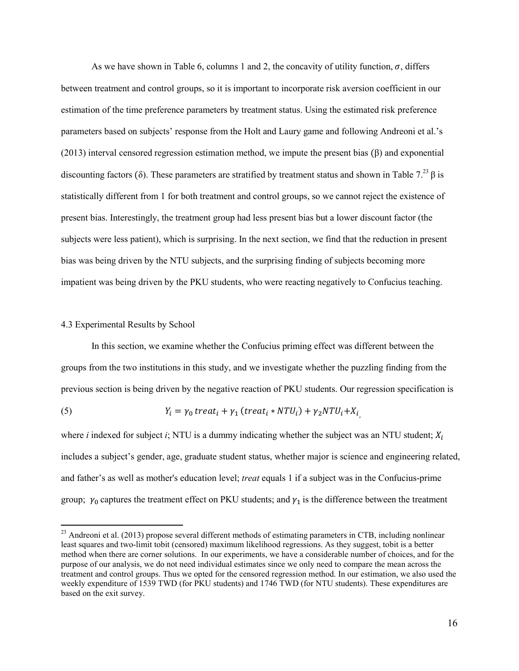As we have shown in Table 6, columns 1 and 2, the concavity of utility function,  $\sigma$ , differs between treatment and control groups, so it is important to incorporate risk aversion coefficient in our estimation of the time preference parameters by treatment status. Using the estimated risk preference parameters based on subjects' response from the Holt and Laury game and following Andreoni et al.'s (2013) interval censored regression estimation method, we impute the present bias (β) and exponential discounting factors (δ). These parameters are stratified by treatment status and shown in Table  $7.^{23}$   $\beta$  is statistically different from 1 for both treatment and control groups, so we cannot reject the existence of present bias. Interestingly, the treatment group had less present bias but a lower discount factor (the subjects were less patient), which is surprising. In the next section, we find that the reduction in present bias was being driven by the NTU subjects, and the surprising finding of subjects becoming more impatient was being driven by the PKU students, who were reacting negatively to Confucius teaching.

#### 4.3 Experimental Results by School

In this section, we examine whether the Confucius priming effect was different between the groups from the two institutions in this study, and we investigate whether the puzzling finding from the previous section is being driven by the negative reaction of PKU students. Our regression specification is

(5) 
$$
Y_i = \gamma_0 \text{treat}_i + \gamma_1 \text{treat}_i * NTU_i) + \gamma_2 NTU_i + X_{i}
$$

where *i* indexed for subject *i*; NTU is a dummy indicating whether the subject was an NTU student;  $X_i$ includes a subject's gender, age, graduate student status, whether major is science and engineering related, and father's as well as mother's education level; *treat* equals 1 if a subject was in the Confucius-prime group;  $\gamma_0$  captures the treatment effect on PKU students; and  $\gamma_1$  is the difference between the treatment

<sup>&</sup>lt;sup>23</sup> Andreoni et al. (2013) propose several different methods of estimating parameters in CTB, including nonlinear least squares and two-limit tobit (censored) maximum likelihood regressions. As they suggest, tobit is a better method when there are corner solutions. In our experiments, we have a considerable number of choices, and for the purpose of our analysis, we do not need individual estimates since we only need to compare the mean across the treatment and control groups. Thus we opted for the censored regression method. In our estimation, we also used the weekly expenditure of 1539 TWD (for PKU students) and 1746 TWD (for NTU students). These expenditures are based on the exit survey.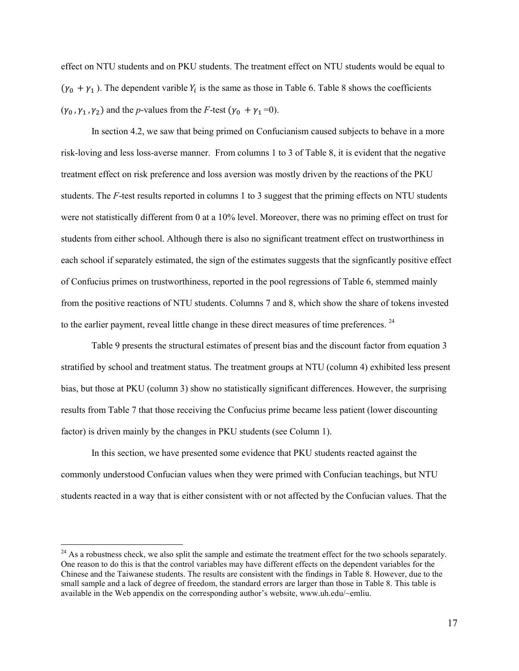effect on NTU students and on PKU students. The treatment effect on NTU students would be equal to  $(\gamma_0 + \gamma_1)$ . The dependent varible  $Y_i$  is the same as those in Table 6. Table 8 shows the coefficients  $(\gamma_0, \gamma_1, \gamma_2)$  and the *p*-values from the *F*-test  $(\gamma_0 + \gamma_1 = 0)$ .

In section 4.2, we saw that being primed on Confucianism caused subjects to behave in a more risk-loving and less loss-averse manner. From columns 1 to 3 of Table 8, it is evident that the negative treatment effect on risk preference and loss aversion was mostly driven by the reactions of the PKU students. The *F*-test results reported in columns 1 to 3 suggest that the priming effects on NTU students were not statistically different from 0 at a 10% level. Moreover, there was no priming effect on trust for students from either school. Although there is also no significant treatment effect on trustworthiness in each school if separately estimated, the sign of the estimates suggests that the signficantly positive effect of Confucius primes on trustworthiness, reported in the pool regressions of Table 6, stemmed mainly from the positive reactions of NTU students. Columns 7 and 8, which show the share of tokens invested to the earlier payment, reveal little change in these direct measures of time preferences. <sup>24</sup>

Table 9 presents the structural estimates of present bias and the discount factor from equation 3 stratified by school and treatment status. The treatment groups at NTU (column 4) exhibited less present bias, but those at PKU (column 3) show no statistically significant differences. However, the surprising results from Table 7 that those receiving the Confucius prime became less patient (lower discounting factor) is driven mainly by the changes in PKU students (see Column 1).

In this section, we have presented some evidence that PKU students reacted against the commonly understood Confucian values when they were primed with Confucian teachings, but NTU students reacted in a way that is either consistent with or not affected by the Confucian values. That the

 $^{24}$  As a robustness check, we also split the sample and estimate the treatment effect for the two schools separately. One reason to do this is that the control variables may have different effects on the dependent variables for the Chinese and the Taiwanese students. The results are consistent with the findings in Table 8. However, due to the small sample and a lack of degree of freedom, the standard errors are larger than those in Table 8. This table is available in the Web appendix on the corresponding author's website, www.uh.edu/~emliu.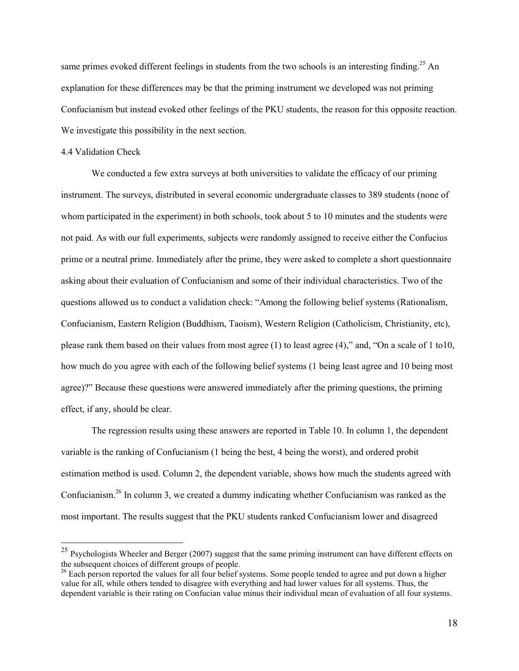same primes evoked different feelings in students from the two schools is an interesting finding.<sup>25</sup> An explanation for these differences may be that the priming instrument we developed was not priming Confucianism but instead evoked other feelings of the PKU students, the reason for this opposite reaction. We investigate this possibility in the next section.

#### 4.4 Validation Check

We conducted a few extra surveys at both universities to validate the efficacy of our priming instrument. The surveys, distributed in several economic undergraduate classes to 389 students (none of whom participated in the experiment) in both schools, took about 5 to 10 minutes and the students were not paid. As with our full experiments, subjects were randomly assigned to receive either the Confucius prime or a neutral prime. Immediately after the prime, they were asked to complete a short questionnaire asking about their evaluation of Confucianism and some of their individual characteristics. Two of the questions allowed us to conduct a validation check: "Among the following belief systems (Rationalism, Confucianism, Eastern Religion (Buddhism, Taoism), Western Religion (Catholicism, Christianity, etc), please rank them based on their values from most agree (1) to least agree (4)," and, "On a scale of 1 to10, how much do you agree with each of the following belief systems (1 being least agree and 10 being most agree)?" Because these questions were answered immediately after the priming questions, the priming effect, if any, should be clear.

The regression results using these answers are reported in Table 10. In column 1, the dependent variable is the ranking of Confucianism (1 being the best, 4 being the worst), and ordered probit estimation method is used. Column 2, the dependent variable, shows how much the students agreed with Confucianism.<sup>26</sup> In column 3, we created a dummy indicating whether Confucianism was ranked as the most important. The results suggest that the PKU students ranked Confucianism lower and disagreed

<sup>&</sup>lt;sup>25</sup> Psychologists Wheeler and Berger (2007) suggest that the same priming instrument can have different effects on the subsequent choices of different groups of people.

<sup>&</sup>lt;sup>26</sup> Each person reported the values for all four belief systems. Some people tended to agree and put down a higher value for all, while others tended to disagree with everything and had lower values for all systems. Thus, the dependent variable is their rating on Confucian value minus their individual mean of evaluation of all four systems.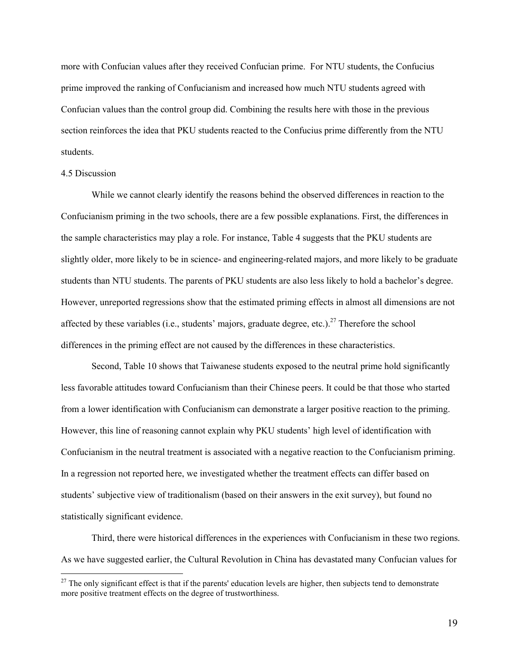more with Confucian values after they received Confucian prime. For NTU students, the Confucius prime improved the ranking of Confucianism and increased how much NTU students agreed with Confucian values than the control group did. Combining the results here with those in the previous section reinforces the idea that PKU students reacted to the Confucius prime differently from the NTU students.

#### 4.5 Discussion

While we cannot clearly identify the reasons behind the observed differences in reaction to the Confucianism priming in the two schools, there are a few possible explanations. First, the differences in the sample characteristics may play a role. For instance, Table 4 suggests that the PKU students are slightly older, more likely to be in science- and engineering-related majors, and more likely to be graduate students than NTU students. The parents of PKU students are also less likely to hold a bachelor's degree. However, unreported regressions show that the estimated priming effects in almost all dimensions are not affected by these variables (i.e., students' majors, graduate degree, etc.).<sup>27</sup> Therefore the school differences in the priming effect are not caused by the differences in these characteristics.

Second, Table 10 shows that Taiwanese students exposed to the neutral prime hold significantly less favorable attitudes toward Confucianism than their Chinese peers. It could be that those who started from a lower identification with Confucianism can demonstrate a larger positive reaction to the priming. However, this line of reasoning cannot explain why PKU students' high level of identification with Confucianism in the neutral treatment is associated with a negative reaction to the Confucianism priming. In a regression not reported here, we investigated whether the treatment effects can differ based on students' subjective view of traditionalism (based on their answers in the exit survey), but found no statistically significant evidence.

Third, there were historical differences in the experiences with Confucianism in these two regions. As we have suggested earlier, the Cultural Revolution in China has devastated many Confucian values for

 $27$  The only significant effect is that if the parents' education levels are higher, then subjects tend to demonstrate more positive treatment effects on the degree of trustworthiness.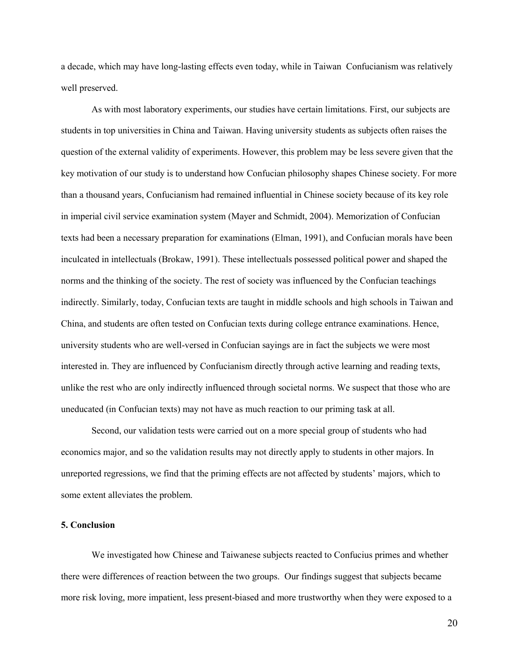a decade, which may have long-lasting effects even today, while in Taiwan Confucianism was relatively well preserved.

As with most laboratory experiments, our studies have certain limitations. First, our subjects are students in top universities in China and Taiwan. Having university students as subjects often raises the question of the external validity of experiments. However, this problem may be less severe given that the key motivation of our study is to understand how Confucian philosophy shapes Chinese society. For more than a thousand years, Confucianism had remained influential in Chinese society because of its key role in imperial civil service examination system (Mayer and Schmidt, 2004). Memorization of Confucian texts had been a necessary preparation for examinations (Elman, 1991), and Confucian morals have been inculcated in intellectuals (Brokaw, 1991). These intellectuals possessed political power and shaped the norms and the thinking of the society. The rest of society was influenced by the Confucian teachings indirectly. Similarly, today, Confucian texts are taught in middle schools and high schools in Taiwan and China, and students are often tested on Confucian texts during college entrance examinations. Hence, university students who are well-versed in Confucian sayings are in fact the subjects we were most interested in. They are influenced by Confucianism directly through active learning and reading texts, unlike the rest who are only indirectly influenced through societal norms. We suspect that those who are uneducated (in Confucian texts) may not have as much reaction to our priming task at all.

Second, our validation tests were carried out on a more special group of students who had economics major, and so the validation results may not directly apply to students in other majors. In unreported regressions, we find that the priming effects are not affected by students' majors, which to some extent alleviates the problem.

#### 5. Conclusion

We investigated how Chinese and Taiwanese subjects reacted to Confucius primes and whether there were differences of reaction between the two groups. Our findings suggest that subjects became more risk loving, more impatient, less present-biased and more trustworthy when they were exposed to a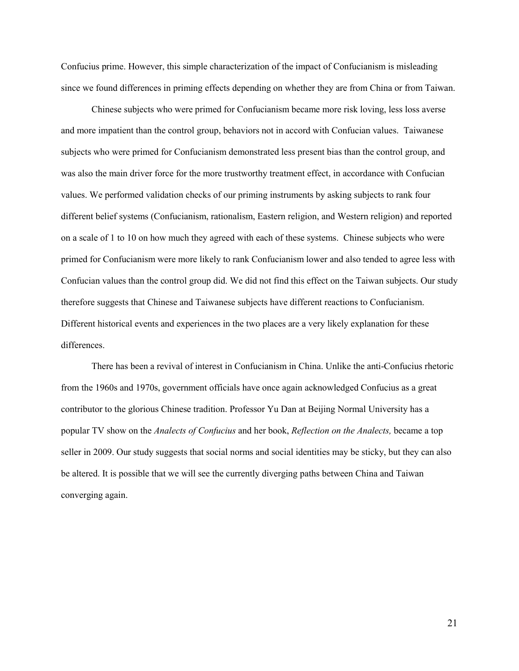Confucius prime. However, this simple characterization of the impact of Confucianism is misleading since we found differences in priming effects depending on whether they are from China or from Taiwan.

Chinese subjects who were primed for Confucianism became more risk loving, less loss averse and more impatient than the control group, behaviors not in accord with Confucian values. Taiwanese subjects who were primed for Confucianism demonstrated less present bias than the control group, and was also the main driver force for the more trustworthy treatment effect, in accordance with Confucian values. We performed validation checks of our priming instruments by asking subjects to rank four different belief systems (Confucianism, rationalism, Eastern religion, and Western religion) and reported on a scale of 1 to 10 on how much they agreed with each of these systems. Chinese subjects who were primed for Confucianism were more likely to rank Confucianism lower and also tended to agree less with Confucian values than the control group did. We did not find this effect on the Taiwan subjects. Our study therefore suggests that Chinese and Taiwanese subjects have different reactions to Confucianism. Different historical events and experiences in the two places are a very likely explanation for these differences.

There has been a revival of interest in Confucianism in China. Unlike the anti-Confucius rhetoric from the 1960s and 1970s, government officials have once again acknowledged Confucius as a great contributor to the glorious Chinese tradition. Professor Yu Dan at Beijing Normal University has a popular TV show on the *Analects of Confucius* and her book, *Reflection on the Analects,* became a top seller in 2009. Our study suggests that social norms and social identities may be sticky, but they can also be altered. It is possible that we will see the currently diverging paths between China and Taiwan converging again.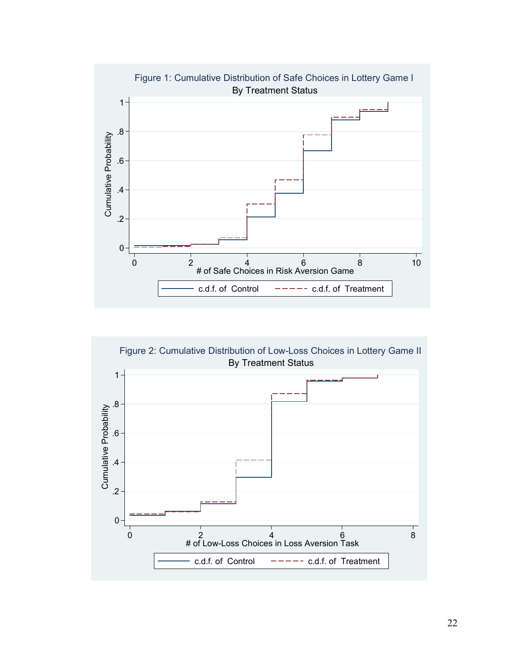

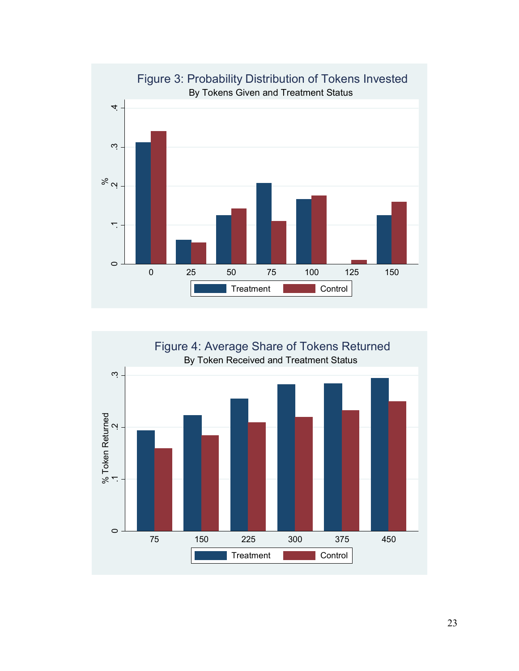

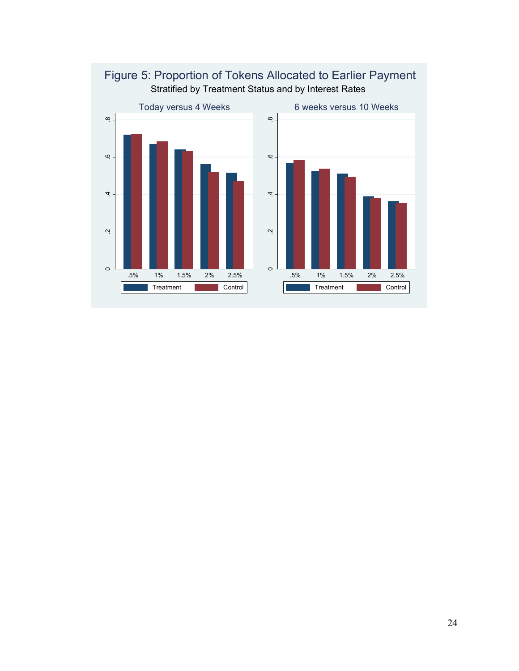

Stratified by Treatment Status and by Interest Rates Figure 5: Proportion of Tokens Allocated to Earlier Payment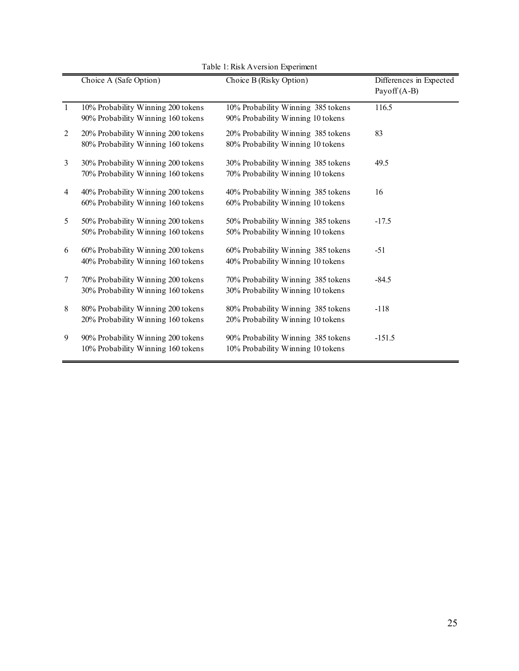|                | Choice A (Safe Option)                                                   | Choice B (Risky Option)                                                 | Differences in Expected<br>Payoff (A-B) |
|----------------|--------------------------------------------------------------------------|-------------------------------------------------------------------------|-----------------------------------------|
| -1             | 10% Probability Winning 200 tokens<br>90% Probability Winning 160 tokens | 10% Probability Winning 385 tokens<br>90% Probability Winning 10 tokens | 116.5                                   |
| $\overline{2}$ | 20% Probability Winning 200 tokens<br>80% Probability Winning 160 tokens | 20% Probability Winning 385 tokens<br>80% Probability Winning 10 tokens | 83                                      |
| $\mathfrak{Z}$ | 30% Probability Winning 200 tokens<br>70% Probability Winning 160 tokens | 30% Probability Winning 385 tokens<br>70% Probability Winning 10 tokens | 49.5                                    |
| 4              | 40% Probability Winning 200 tokens<br>60% Probability Winning 160 tokens | 40% Probability Winning 385 tokens<br>60% Probability Winning 10 tokens | 16                                      |
| 5              | 50% Probability Winning 200 tokens<br>50% Probability Winning 160 tokens | 50% Probability Winning 385 tokens<br>50% Probability Winning 10 tokens | $-17.5$                                 |
| 6              | 60% Probability Winning 200 tokens<br>40% Probability Winning 160 tokens | 60% Probability Winning 385 tokens<br>40% Probability Winning 10 tokens | $-51$                                   |
| 7              | 70% Probability Winning 200 tokens<br>30% Probability Winning 160 tokens | 70% Probability Winning 385 tokens<br>30% Probability Winning 10 tokens | $-84.5$                                 |
| 8              | 80% Probability Winning 200 tokens<br>20% Probability Winning 160 tokens | 80% Probability Winning 385 tokens<br>20% Probability Winning 10 tokens | $-118$                                  |
| 9              | 90% Probability Winning 200 tokens<br>10% Probability Winning 160 tokens | 90% Probability Winning 385 tokens<br>10% Probability Winning 10 tokens | $-151.5$                                |

#### Table 1: Risk Aversion Experiment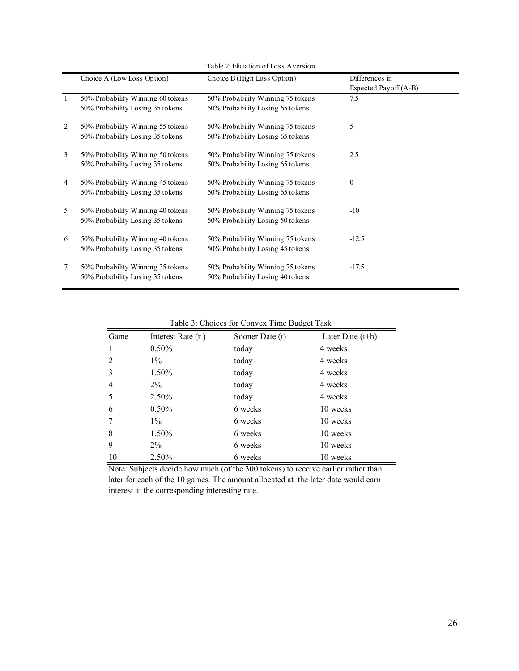|                |                                                                       | Table 2: Eliciation of Loss Aversion                                  |                                         |
|----------------|-----------------------------------------------------------------------|-----------------------------------------------------------------------|-----------------------------------------|
|                | Choice A (Low Loss Option)                                            | Choice B (High Loss Option)                                           | Differences in<br>Expected Payoff (A-B) |
| $\mathbf{1}$   | 50% Probability Winning 60 tokens<br>50% Probability Losing 35 tokens | 50% Probability Winning 75 tokens<br>50% Probability Losing 65 tokens | 7.5                                     |
| 2              | 50% Probability Winning 55 tokens<br>50% Probability Losing 35 tokens | 50% Probability Winning 75 tokens<br>50% Probability Losing 65 tokens | 5                                       |
| 3              | 50% Probability Winning 50 tokens<br>50% Probability Losing 35 tokens | 50% Probability Winning 75 tokens<br>50% Probability Losing 65 tokens | 2.5                                     |
| $\overline{4}$ | 50% Probability Winning 45 tokens<br>50% Probability Losing 35 tokens | 50% Probability Winning 75 tokens<br>50% Probability Losing 65 tokens | $\boldsymbol{0}$                        |
| 5              | 50% Probability Winning 40 tokens<br>50% Probability Losing 35 tokens | 50% Probability Winning 75 tokens<br>50% Probability Losing 50 tokens | $-10$                                   |
| 6              | 50% Probability Winning 40 tokens<br>50% Probability Losing 35 tokens | 50% Probability Winning 75 tokens<br>50% Probability Losing 45 tokens | $-12.5$                                 |
| 7              | 50% Probability Winning 35 tokens<br>50% Probability Losing 35 tokens | 50% Probability Winning 75 tokens<br>50% Probability Losing 40 tokens | $-17.5$                                 |

Table 3: Choices for Convex Time Budget Task

| Game           | Interest Rate (r) | Tuble 5. Cholees for Convex This Budget Tuble<br>Sooner Date (t) | Later Date $(t+h)$ |
|----------------|-------------------|------------------------------------------------------------------|--------------------|
|                | $0.50\%$          | today                                                            | 4 weeks            |
| $\mathfrak{D}$ | $1\%$             | today                                                            | 4 weeks            |
| 3              | 1.50%             | today                                                            | 4 weeks            |
| 4              | $2\%$             | today                                                            | 4 weeks            |
| 5              | 2.50%             | today                                                            | 4 weeks            |
| 6              | $0.50\%$          | 6 weeks                                                          | 10 weeks           |
| 7              | $1\%$             | 6 weeks                                                          | 10 weeks           |
| 8              | 1.50%             | 6 weeks                                                          | 10 weeks           |
| 9              | $2\%$             | 6 weeks                                                          | 10 weeks           |
| 10             | 2.50%             | 6 weeks                                                          | 10 weeks           |

Note: Subjects decide how much (of the 300 tokens) to receive earlier rather than later for each of the 10 games. The amount allocated at the later date would earn interest at the corresponding interesting rate.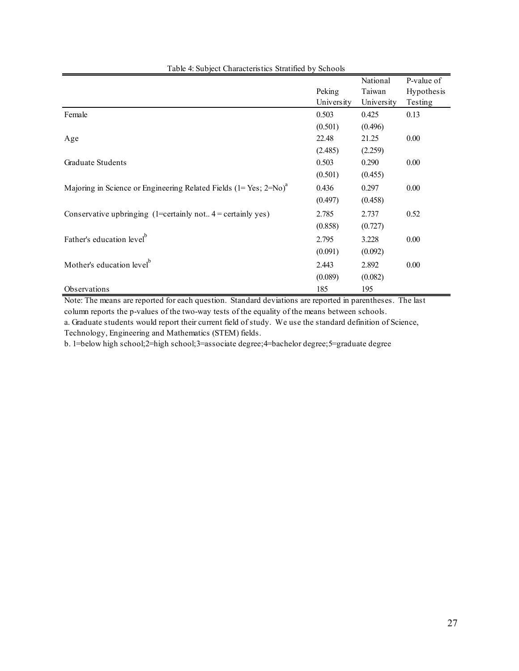|                                                                           |            | National   | P-value of |
|---------------------------------------------------------------------------|------------|------------|------------|
|                                                                           | Peking     | Taiwan     | Hypothesis |
|                                                                           | University | University | Testing    |
| Female                                                                    | 0.503      | 0.425      | 0.13       |
|                                                                           | (0.501)    | (0.496)    |            |
| Age                                                                       | 22.48      | 21.25      | 0.00       |
|                                                                           | (2.485)    | (2.259)    |            |
| Graduate Students                                                         | 0.503      | 0.290      | 0.00       |
|                                                                           | (0.501)    | (0.455)    |            |
| Majoring in Science or Engineering Related Fields $(1 = Yes; 2 = No)^{a}$ | 0.436      | 0.297      | 0.00       |
|                                                                           | (0.497)    | (0.458)    |            |
| Conservative upbringing (1=certainly not $4 =$ certainly yes)             | 2.785      | 2.737      | 0.52       |
|                                                                           | (0.858)    | (0.727)    |            |
| Father's education level <sup>b</sup>                                     | 2.795      | 3.228      | 0.00       |
|                                                                           | (0.091)    | (0.092)    |            |
| Mother's education level <sup>b</sup>                                     | 2.443      | 2.892      | 0.00       |
|                                                                           | (0.089)    | (0.082)    |            |
| Observations                                                              | 185        | 195        |            |

Table 4: Subject Characteristics Stratified by Schools

Note: The means are reported for each question. Standard deviations are reported in parentheses. The last column reports the p-values of the two-way tests of the equality of the means between schools.

a. Graduate students would report their current field of study. We use the standard definition of Science, Technology, Engineering and Mathematics (STEM) fields.

b. 1=below high school;2=high school;3=associate degree;4=bachelor degree;5=graduate degree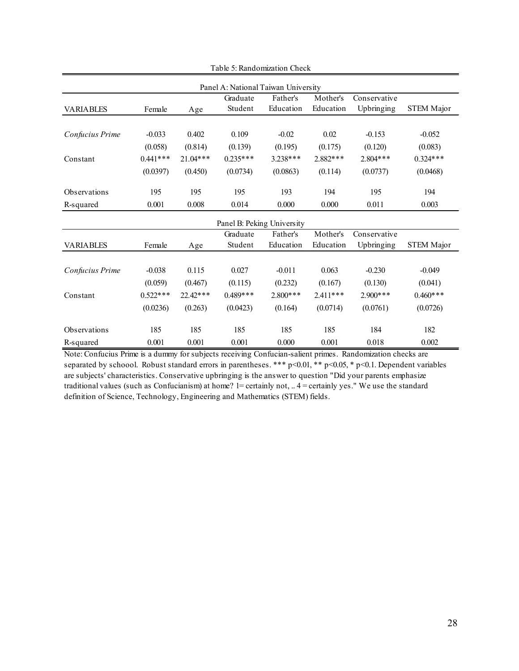| Panel A: National Taiwan University |            |            |                            |            |            |              |                   |
|-------------------------------------|------------|------------|----------------------------|------------|------------|--------------|-------------------|
|                                     |            |            | Graduate                   | Father's   | Mother's   | Conservative |                   |
| <b>VARIABLES</b>                    | Female     | Age        | Student                    | Education  | Education  | Upbringing   | <b>STEM Major</b> |
|                                     |            |            |                            |            |            |              |                   |
| Confucius Prime                     | $-0.033$   | 0.402      | 0.109                      | $-0.02$    | 0.02       | $-0.153$     | $-0.052$          |
|                                     | (0.058)    | (0.814)    | (0.139)                    | (0.195)    | (0.175)    | (0.120)      | (0.083)           |
| Constant                            | $0.441***$ | $21.04***$ | $0.235***$                 | 3.238***   | $2.882***$ | $2.804***$   | $0.324***$        |
|                                     | (0.0397)   | (0.450)    | (0.0734)                   | (0.0863)   | (0.114)    | (0.0737)     | (0.0468)          |
|                                     |            |            |                            |            |            |              |                   |
| Observations                        | 195        | 195        | 195                        | 193        | 194        | 195          | 194               |
| R-squared                           | 0.001      | 0.008      | 0.014                      | 0.000      | 0.000      | 0.011        | 0.003             |
|                                     |            |            | Panel B: Peking University |            |            |              |                   |
|                                     |            |            | Graduate                   | Father's   | Mother's   | Conservative |                   |
| <b>VARIABLES</b>                    | Female     | Age        | Student                    | Education  | Education  | Upbringing   | <b>STEM Major</b> |
|                                     |            |            |                            |            |            |              |                   |
| Confucius Prime                     | $-0.038$   | 0.115      | 0.027                      | $-0.011$   | 0.063      | $-0.230$     | $-0.049$          |
|                                     | (0.059)    | (0.467)    | (0.115)                    | (0.232)    | (0.167)    | (0.130)      | (0.041)           |
| Constant                            | $0.522***$ | 22.42***   | $0.489***$                 | $2.800***$ | $2.411***$ | $2.900***$   | $0.460***$        |
|                                     | (0.0236)   | (0.263)    | (0.0423)                   | (0.164)    | (0.0714)   | (0.0761)     | (0.0726)          |
| Observations                        | 185        | 185        | 185                        | 185        | 185        | 184          | 182               |
| R-squared                           | 0.001      | 0.001      | 0.001                      | 0.000      | 0.001      | 0.018        | 0.002             |

Table 5: Randomization Check

Note: Confucius Prime is a dummy for subjects receiving Confucian-salient primes. Randomization checks are separated by schoool. Robust standard errors in parentheses. \*\*\* p<0.01, \*\* p<0.05, \* p<0.1. Dependent variables are subjects' characteristics. Conservative upbringing is the answer to question "Did your parents emphasize traditional values (such as Confucianism) at home? 1= certainly not, .. 4 = certainly yes." We use the standard definition of Science, Technology, Engineering and Mathematics (STEM) fields.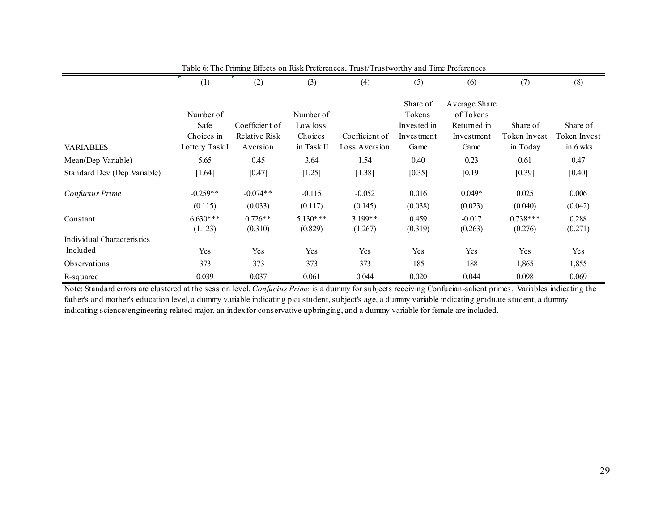|                             | Table 6: The Priming Effects on Risk Preferences, Trust/Trustworthy and Time Preferences |                                 |                                  |                      |                                                 |                                                         |                          |                          |
|-----------------------------|------------------------------------------------------------------------------------------|---------------------------------|----------------------------------|----------------------|-------------------------------------------------|---------------------------------------------------------|--------------------------|--------------------------|
|                             | (1)                                                                                      | (2)                             | (3)                              | (4)                  | (5)                                             | (6)                                                     | (7)                      | (8)                      |
|                             | Number of<br>Safe<br>Choices in                                                          | Coefficient of<br>Relative Risk | Number of<br>Low loss<br>Choices | Coefficient of       | Share of<br>Tokens<br>Invested in<br>Investment | Average Share<br>of Tokens<br>Returned in<br>Investment | Share of<br>Token Invest | Share of<br>Token Invest |
| <b>VARIABLES</b>            | Lottery Task I                                                                           | Aversion                        | in Task II                       | Loss Aversion        | Game                                            | Game                                                    | in Today                 | in 6 wks                 |
| Mean(Dep Variable)          | 5.65                                                                                     | 0.45                            | 3.64                             | 1.54                 | 0.40                                            | 0.23                                                    | 0.61                     | 0.47                     |
| Standard Dev (Dep Variable) | [1.64]                                                                                   | [0.47]                          | $[1.25]$                         | [1.38]               | [0.35]                                          | [0.19]                                                  | [0.39]                   | [0.40]                   |
| Confucius Prime             | $-0.259**$<br>(0.115)                                                                    | $-0.074**$<br>(0.033)           | $-0.115$<br>(0.117)              | $-0.052$<br>(0.145)  | 0.016<br>(0.038)                                | $0.049*$<br>(0.023)                                     | 0.025<br>(0.040)         | 0.006<br>(0.042)         |
| Constant                    | $6.630***$<br>(1.123)                                                                    | $0.726**$<br>(0.310)            | $5.130***$<br>(0.829)            | $3.199**$<br>(1.267) | 0.459<br>(0.319)                                | $-0.017$<br>(0.263)                                     | $0.738***$<br>(0.276)    | 0.288<br>(0.271)         |
| Individual Characteristics  |                                                                                          |                                 |                                  |                      |                                                 |                                                         |                          |                          |
| Included                    | Yes                                                                                      | Yes                             | Yes                              | Yes                  | Yes                                             | Yes                                                     | Yes                      | Yes                      |
| <b>Observations</b>         | 373                                                                                      | 373                             | 373                              | 373                  | 185                                             | 188                                                     | 1,865                    | 1,855                    |
| R-squared                   | 0.039                                                                                    | 0.037                           | 0.061                            | 0.044                | 0.020                                           | 0.044                                                   | 0.098                    | 0.069                    |

Note: Standard errors are clustered at the session level. *Confucius Prime* is a dummy for subjects receiving Confucian-salient primes. Variables indicating the father's and mother's education level, a dummy variable indicating pku student, subject's age, a dummy variable indicating graduate student, a dummy indicating science/engineering related major, an index for conservative upbringing, and a dummy variable for female are included.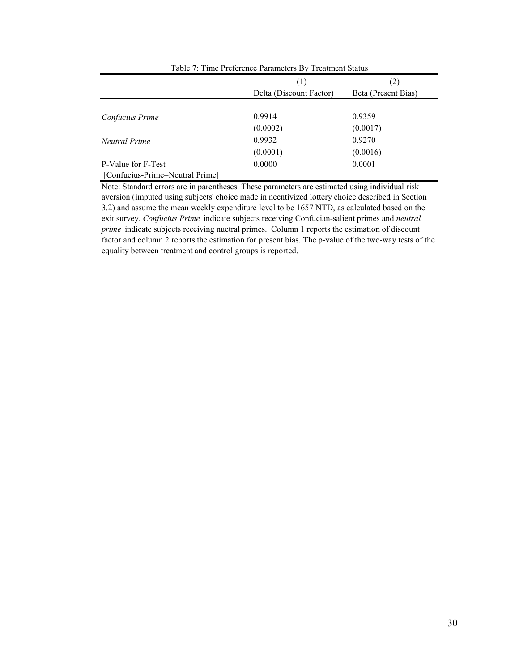| Table 7. This Preference Parameters Dy Treatment Blands |                         |                     |  |  |
|---------------------------------------------------------|-------------------------|---------------------|--|--|
|                                                         | (1)                     | (2)                 |  |  |
|                                                         | Delta (Discount Factor) | Beta (Present Bias) |  |  |
|                                                         |                         |                     |  |  |
| Confucius Prime                                         | 0.9914                  | 0.9359              |  |  |
|                                                         | (0.0002)                | (0.0017)            |  |  |
| <b>Neutral Prime</b>                                    | 0.9932                  | 0.9270              |  |  |
|                                                         | (0.0001)                | (0.0016)            |  |  |
| P-Value for F-Test                                      | 0.0000                  | 0.0001              |  |  |
| [Confucius-Prime=Neutral Prime]                         |                         |                     |  |  |

Table 7: Time Preference Parameters By Treatment Status

Note: Standard errors are in parentheses. These parameters are estimated using individual risk aversion (imputed using subjects' choice made in ncentivized lottery choice described in Section 3.2) and assume the mean weekly expenditure level to be 1657 NTD, as calculated based on the exit survey. *Confucius Prime* indicate subjects receiving Confucian-salient primes and *neutral prime* indicate subjects receiving nuetral primes. Column 1 reports the estimation of discount factor and column 2 reports the estimation for present bias. The p-value of the two-way tests of the equality between treatment and control groups is reported.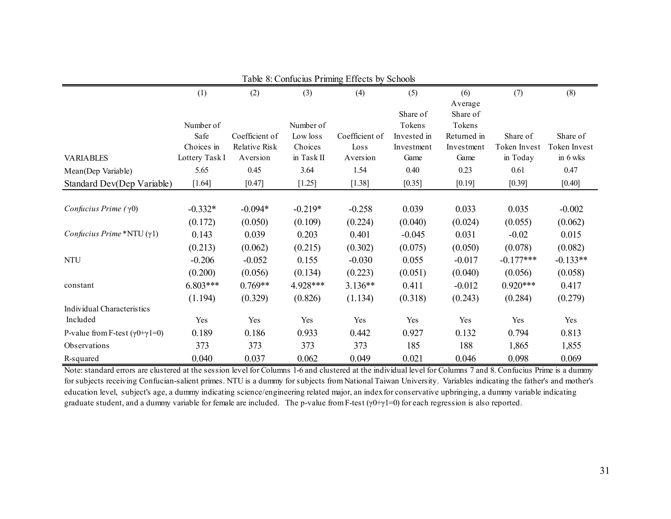|                                                 |                |                      |            | Table 8: Confuctus Priming Effects by Schools |             |             |              |                     |
|-------------------------------------------------|----------------|----------------------|------------|-----------------------------------------------|-------------|-------------|--------------|---------------------|
|                                                 | (1)            | (2)                  | (3)        | (4)                                           | (5)         | (6)         | (7)          | (8)                 |
|                                                 |                |                      |            |                                               |             | Average     |              |                     |
|                                                 |                |                      |            |                                               | Share of    | Share of    |              |                     |
|                                                 | Number of      |                      | Number of  |                                               | Tokens      | Tokens      |              |                     |
|                                                 | Safe           | Coefficient of       | Low loss   | Coefficient of                                | Invested in | Returned in | Share of     | Share of            |
|                                                 | Choices in     | <b>Relative Risk</b> | Choices    | Loss                                          | Investment  | Investment  | Token Invest | <b>Token Invest</b> |
| <b>VARIABLES</b>                                | Lottery Task I | Aversion             | in Task II | Aversion                                      | Game        | Game        | in Today     | in 6 wks            |
| Mean(Dep Variable)                              | 5.65           | 0.45                 | 3.64       | 1.54                                          | 0.40        | 0.23        | 0.61         | 0.47                |
| Standard Dev(Dep Variable)                      | $[1.64]$       | [0.47]               | $[1.25]$   | $[1.38]$                                      | $[0.35]$    | $[0.19]$    | $[0.39]$     | $[0.40]$            |
|                                                 |                |                      |            |                                               |             |             |              |                     |
| Confucius Prime $(\gamma 0)$                    | $-0.332*$      | $-0.094*$            | $-0.219*$  | $-0.258$                                      | 0.039       | 0.033       | 0.035        | $-0.002$            |
|                                                 | (0.172)        | (0.050)              | (0.109)    | (0.224)                                       | (0.040)     | (0.024)     | (0.055)      | (0.062)             |
| Confucius Prime *NTU $(\gamma 1)$               | 0.143          | 0.039                | 0.203      | 0.401                                         | $-0.045$    | 0.031       | $-0.02$      | 0.015               |
|                                                 | (0.213)        | (0.062)              | (0.215)    | (0.302)                                       | (0.075)     | (0.050)     | (0.078)      | (0.082)             |
| <b>NTU</b>                                      | $-0.206$       | $-0.052$             | 0.155      | $-0.030$                                      | 0.055       | $-0.017$    | $-0.177***$  | $-0.133**$          |
|                                                 | (0.200)        | (0.056)              | (0.134)    | (0.223)                                       | (0.051)     | (0.040)     | (0.056)      | (0.058)             |
| constant                                        | $6.803***$     | $0.769**$            | 4.928***   | $3.136**$                                     | 0.411       | $-0.012$    | $0.920***$   | 0.417               |
|                                                 | (1.194)        | (0.329)              | (0.826)    | (1.134)                                       | (0.318)     | (0.243)     | (0.284)      | (0.279)             |
| Individual Characteristics                      |                |                      |            |                                               |             |             |              |                     |
| Included                                        | Yes            | Yes                  | Yes        | Yes                                           | Yes         | Yes         | Yes          | Yes                 |
| P-value from F-test $(\gamma 0 + \gamma 1 = 0)$ | 0.189          | 0.186                | 0.933      | 0.442                                         | 0.927       | 0.132       | 0.794        | 0.813               |
| Observations                                    | 373            | 373                  | 373        | 373                                           | 185         | 188         | 1,865        | 1,855               |
| R-squared                                       | 0.040          | 0.037                | 0.062      | 0.049                                         | 0.021       | 0.046       | 0.098        | 0.069               |

Table 8: Confucius Priming Effects by Schools

Note: standard errors are clustered at the session level for Columns 1-6 and clustered at the individual level for Columns 7 and 8. Confucius Prime is a dummy for subjects receiving Confucian-salient primes. NTU is a dummy for subjects from National Taiwan University. Variables indicating the father's and mother's education level, subject's age, a dummy indicating science/engineering related major, an index for conservative upbringing, a dummy variable indicating graduate student, and a dummy variable for female are included. The p-value from F-test ( $\gamma$ 0+ $\gamma$ 1=0) for each regression is also reported.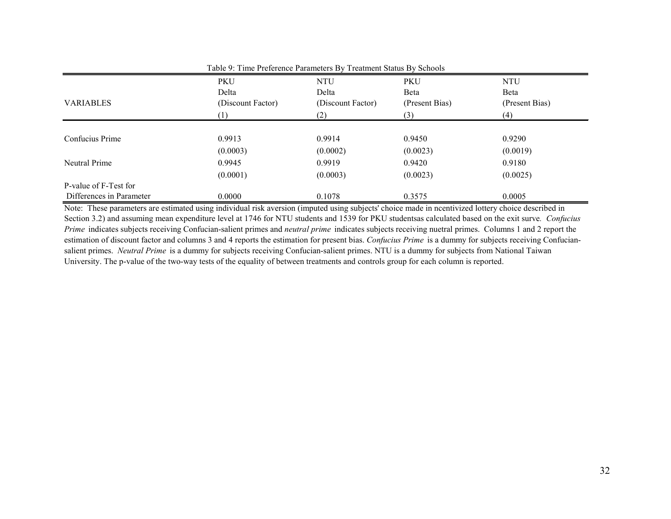| Table 9: Time Preference Parameters By Treatment Status By Schools |                   |                   |                |                |  |  |  |
|--------------------------------------------------------------------|-------------------|-------------------|----------------|----------------|--|--|--|
| <b>PKU</b><br><b>NTU</b><br><b>PKU</b><br><b>NTU</b>               |                   |                   |                |                |  |  |  |
|                                                                    | Delta             | Delta             | Beta           | <b>B</b> eta   |  |  |  |
| <b>VARIABLES</b>                                                   | (Discount Factor) | (Discount Factor) | (Present Bias) | (Present Bias) |  |  |  |
|                                                                    |                   | (2)               | (3)            | (4)            |  |  |  |
|                                                                    |                   |                   |                |                |  |  |  |
| Confucius Prime                                                    | 0.9913            | 0.9914            | 0.9450         | 0.9290         |  |  |  |
|                                                                    | (0.0003)          | (0.0002)          | (0.0023)       | (0.0019)       |  |  |  |
| Neutral Prime                                                      | 0.9945            | 0.9919            | 0.9420         | 0.9180         |  |  |  |
|                                                                    | (0.0001)          | (0.0003)          | (0.0023)       | (0.0025)       |  |  |  |
| P-value of F-Test for                                              |                   |                   |                |                |  |  |  |
| Differences in Parameter                                           | 0.0000            | 0.1078            | 0.3575         | 0.0005         |  |  |  |

Note: These parameters are estimated using individual risk aversion (imputed using subjects' choice made in ncentivized lottery choice described in Section 3.2) and assuming mean expenditure level at 1746 for NTU students and 1539 for PKU studentsas calculated based on the exit surve*. Confucius Prime* indicates subjects receiving Confucian-salient primes and *neutral prime* indicates subjects receiving nuetral primes. Columns 1 and 2 report the estimation of discount factor and columns 3 and 4 reports the estimation for present bias. *Confucius Prime* is a dummy for subjects receiving Confuciansalient primes. *Neutral Prime* is a dummy for subjects receiving Confucian-salient primes. NTU is a dummy for subjects from National Taiwan University. The p-value of the two-way tests of the equality of between treatments and controls group for each column is reported.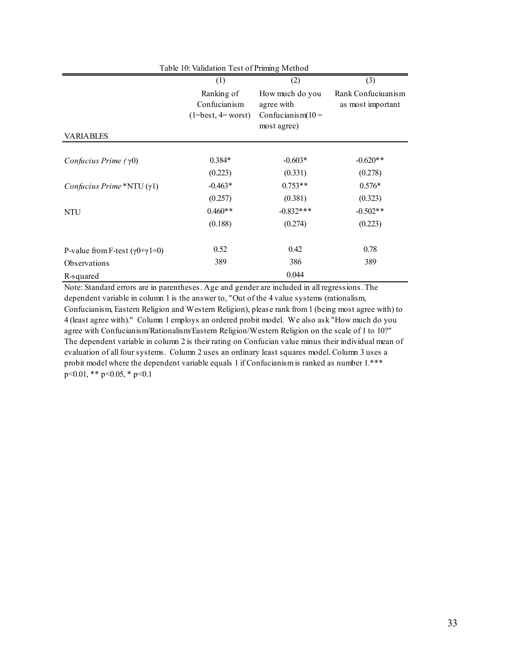|                                                 | Table 10: Validation Test of Priming Method       |                                                                      |                                         |  |  |  |
|-------------------------------------------------|---------------------------------------------------|----------------------------------------------------------------------|-----------------------------------------|--|--|--|
|                                                 | (1)                                               | (2)                                                                  | (3)                                     |  |  |  |
|                                                 | Ranking of<br>Confucianism<br>$(1=best, 4=worst)$ | How much do you<br>agree with<br>Confucianism $(10 =$<br>most agree) | Rank Confuciuanism<br>as most important |  |  |  |
| <b>VARIABLES</b>                                |                                                   |                                                                      |                                         |  |  |  |
| Confucius Prime $(\gamma 0)$                    | $0.384*$                                          | $-0.603*$                                                            | $-0.620**$                              |  |  |  |
|                                                 | (0.223)                                           | (0.331)                                                              | (0.278)                                 |  |  |  |
| Confucius Prime *NTU $(\gamma 1)$               | $-0.463*$                                         | $0.753**$                                                            | $0.576*$                                |  |  |  |
|                                                 | (0.257)                                           | (0.381)                                                              | (0.323)                                 |  |  |  |
| <b>NTU</b>                                      | $0.460**$                                         | $-0.832***$                                                          | $-0.502**$                              |  |  |  |
|                                                 | (0.188)                                           | (0.274)                                                              | (0.223)                                 |  |  |  |
| P-value from F-test $(\gamma 0 + \gamma 1 = 0)$ | 0.52                                              | 0.42                                                                 | 0.78                                    |  |  |  |
| Observations                                    | 389                                               | 386                                                                  | 389                                     |  |  |  |
| R-squared                                       |                                                   | 0.044                                                                |                                         |  |  |  |

Note: Standard errors are in parentheses. Age and gender are included in all regressions. The dependent variable in column 1 is the answer to, "Out of the 4 value systems (rationalism, Confucianism, Eastern Religion and Western Religion), please rank from 1 (being most agree with) to 4 (least agree with)." Column 1 employs an ordered probit model. We also ask "How much do you agree with Confucianism/Rationalism/Eastern Religion/Western Religion on the scale of 1 to 10?" The dependent variable in column 2 is their rating on Confucian value minus their individual mean of evaluation of all four systems. Column 2 uses an ordinary least squares model. Column 3 uses a probit model where the dependent variable equals 1 if Confucianism is ranked as number 1.\*\*\* p<0.01, \*\* p<0.05, \* p<0.1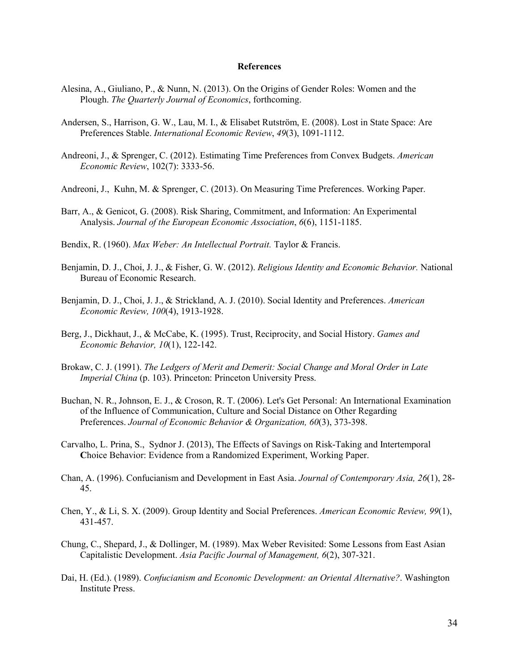#### References

- Alesina, A., Giuliano, P., & Nunn, N. (2013). On the Origins of Gender Roles: Women and the Plough. *The Quarterly Journal of Economics*, forthcoming.
- Andersen, S., Harrison, G. W., Lau, M. I., & Elisabet Rutström, E. (2008). Lost in State Space: Are Preferences Stable. *International Economic Review*, *49*(3), 1091-1112.
- Andreoni, J., & Sprenger, C. (2012). Estimating Time Preferences from Convex Budgets. *American Economic Review*, 102(7): 3333-56.
- Andreoni, J., Kuhn, M. & Sprenger, C. (2013). On Measuring Time Preferences. Working Paper.
- Barr, A., & Genicot, G. (2008). Risk Sharing, Commitment, and Information: An Experimental Analysis. *Journal of the European Economic Association*, *6*(6), 1151-1185.
- Bendix, R. (1960). *Max Weber: An Intellectual Portrait.* Taylor & Francis.
- Benjamin, D. J., Choi, J. J., & Fisher, G. W. (2012). *Religious Identity and Economic Behavior.* National Bureau of Economic Research.
- Benjamin, D. J., Choi, J. J., & Strickland, A. J. (2010). Social Identity and Preferences. *American Economic Review, 100*(4), 1913-1928.
- Berg, J., Dickhaut, J., & McCabe, K. (1995). Trust, Reciprocity, and Social History. *Games and Economic Behavior, 10*(1), 122-142.
- Brokaw, C. J. (1991). *The Ledgers of Merit and Demerit: Social Change and Moral Order in Late Imperial China* (p. 103). Princeton: Princeton University Press.
- Buchan, N. R., Johnson, E. J., & Croson, R. T. (2006). Let's Get Personal: An International Examination of the Influence of Communication, Culture and Social Distance on Other Regarding Preferences. *Journal of Economic Behavior & Organization, 60*(3), 373-398.
- Carvalho, L. Prina, S., Sydnor J. (2013), The Effects of Savings on Risk-Taking and Intertemporal Choice Behavior: Evidence from a Randomized Experiment, Working Paper.
- Chan, A. (1996). Confucianism and Development in East Asia. *Journal of Contemporary Asia, 26*(1), 28- 45.
- Chen, Y., & Li, S. X. (2009). Group Identity and Social Preferences. *American Economic Review, 99*(1), 431-457.
- Chung, C., Shepard, J., & Dollinger, M. (1989). Max Weber Revisited: Some Lessons from East Asian Capitalistic Development. *Asia Pacific Journal of Management, 6*(2), 307-321.
- Dai, H. (Ed.). (1989). *Confucianism and Economic Development: an Oriental Alternative?*. Washington Institute Press.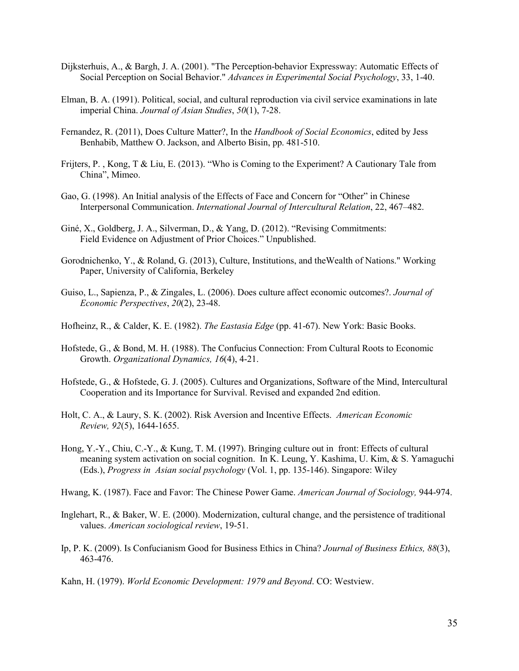- Dijksterhuis, A., & Bargh, J. A. (2001). "The Perception-behavior Expressway: Automatic Effects of Social Perception on Social Behavior." *Advances in Experimental Social Psychology*, 33, 1-40.
- Elman, B. A. (1991). Political, social, and cultural reproduction via civil service examinations in late imperial China. *Journal of Asian Studies*, *50*(1), 7-28.
- Fernandez, R. (2011), Does Culture Matter?, In the *Handbook of Social Economics*, edited by Jess Benhabib, Matthew O. Jackson, and Alberto Bisin, pp. 481-510.
- Frijters, P. , Kong, T & Liu, E. (2013). "Who is Coming to the Experiment? A Cautionary Tale from China", Mimeo.
- Gao, G. (1998). An Initial analysis of the Effects of Face and Concern for "Other" in Chinese Interpersonal Communication. *International Journal of Intercultural Relation*, 22, 467–482.
- Giné, X., Goldberg, J. A., Silverman, D., & Yang, D. (2012). "Revising Commitments: Field Evidence on Adjustment of Prior Choices." Unpublished.
- Gorodnichenko, Y., & Roland, G. (2013), Culture, Institutions, and theWealth of Nations." Working Paper, University of California, Berkeley
- Guiso, L., Sapienza, P., & Zingales, L. (2006). Does culture affect economic outcomes?. *Journal of Economic Perspectives*, *20*(2), 23-48.
- Hofheinz, R., & Calder, K. E. (1982). *The Eastasia Edge* (pp. 41-67). New York: Basic Books.
- Hofstede, G., & Bond, M. H. (1988). The Confucius Connection: From Cultural Roots to Economic Growth. *Organizational Dynamics, 16*(4), 4-21.
- Hofstede, G., & Hofstede, G. J. (2005). Cultures and Organizations, Software of the Mind, Intercultural Cooperation and its Importance for Survival. Revised and expanded 2nd edition.
- Holt, C. A., & Laury, S. K. (2002). Risk Aversion and Incentive Effects. *American Economic Review, 92*(5), 1644-1655.
- Hong, Y.-Y., Chiu, C.-Y., & Kung, T. M. (1997). Bringing culture out in front: Effects of cultural meaning system activation on social cognition. In K. Leung, Y. Kashima, U. Kim, & S. Yamaguchi (Eds.), *Progress in Asian social psychology* (Vol. 1, pp. 135-146). Singapore: Wiley
- Hwang, K. (1987). Face and Favor: The Chinese Power Game. *American Journal of Sociology,* 944-974.
- Inglehart, R., & Baker, W. E. (2000). Modernization, cultural change, and the persistence of traditional values. *American sociological review*, 19-51.
- Ip, P. K. (2009). Is Confucianism Good for Business Ethics in China? *Journal of Business Ethics, 88*(3), 463-476.
- Kahn, H. (1979). *World Economic Development: 1979 and Beyond*. CO: Westview.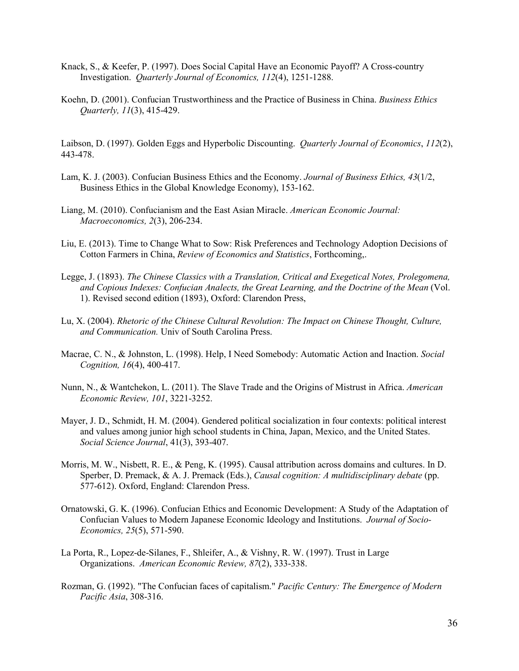- Knack, S., & Keefer, P. (1997). Does Social Capital Have an Economic Payoff? A Cross-country Investigation. *Quarterly Journal of Economics, 112*(4), 1251-1288.
- Koehn, D. (2001). Confucian Trustworthiness and the Practice of Business in China. *Business Ethics Quarterly, 11*(3), 415-429.

Laibson, D. (1997). Golden Eggs and Hyperbolic Discounting. *Quarterly Journal of Economics*, *112*(2), 443-478.

- Lam, K. J. (2003). Confucian Business Ethics and the Economy. *Journal of Business Ethics, 43*(1/2, Business Ethics in the Global Knowledge Economy), 153-162.
- Liang, M. (2010). Confucianism and the East Asian Miracle. *American Economic Journal: Macroeconomics, 2*(3), 206-234.
- Liu, E. (2013). Time to Change What to Sow: Risk Preferences and Technology Adoption Decisions of Cotton Farmers in China, *Review of Economics and Statistics*, Forthcoming,.
- Legge, J. (1893). *The Chinese Classics with a Translation, Critical and Exegetical Notes, Prolegomena, and Copious Indexes: Confucian Analects, the Great Learning, and the Doctrine of the Mean* (Vol. 1). Revised second edition (1893), Oxford: Clarendon Press,
- Lu, X. (2004). *Rhetoric of the Chinese Cultural Revolution: The Impact on Chinese Thought, Culture, and Communication.* Univ of South Carolina Press.
- Macrae, C. N., & Johnston, L. (1998). Help, I Need Somebody: Automatic Action and Inaction. *Social Cognition, 16*(4), 400-417.
- Nunn, N., & Wantchekon, L. (2011). The Slave Trade and the Origins of Mistrust in Africa. *American Economic Review, 101*, 3221-3252.
- Mayer, J. D., Schmidt, H. M. (2004). Gendered political socialization in four contexts: political interest and values among junior high school students in China, Japan, Mexico, and the United States. *Social Science Journal*, 41(3), 393-407.
- Morris, M. W., Nisbett, R. E., & Peng, K. (1995). Causal attribution across domains and cultures. In D. Sperber, D. Premack, & A. J. Premack (Eds.), *Causal cognition: A multidisciplinary debate* (pp. 577-612). Oxford, England: Clarendon Press.
- Ornatowski, G. K. (1996). Confucian Ethics and Economic Development: A Study of the Adaptation of Confucian Values to Modern Japanese Economic Ideology and Institutions. *Journal of Socio-Economics, 25*(5), 571-590.
- La Porta, R., Lopez-de-Silanes, F., Shleifer, A., & Vishny, R. W. (1997). Trust in Large Organizations. *American Economic Review, 87*(2), 333-338.
- Rozman, G. (1992). "The Confucian faces of capitalism." *Pacific Century: The Emergence of Modern Pacific Asia*, 308-316.